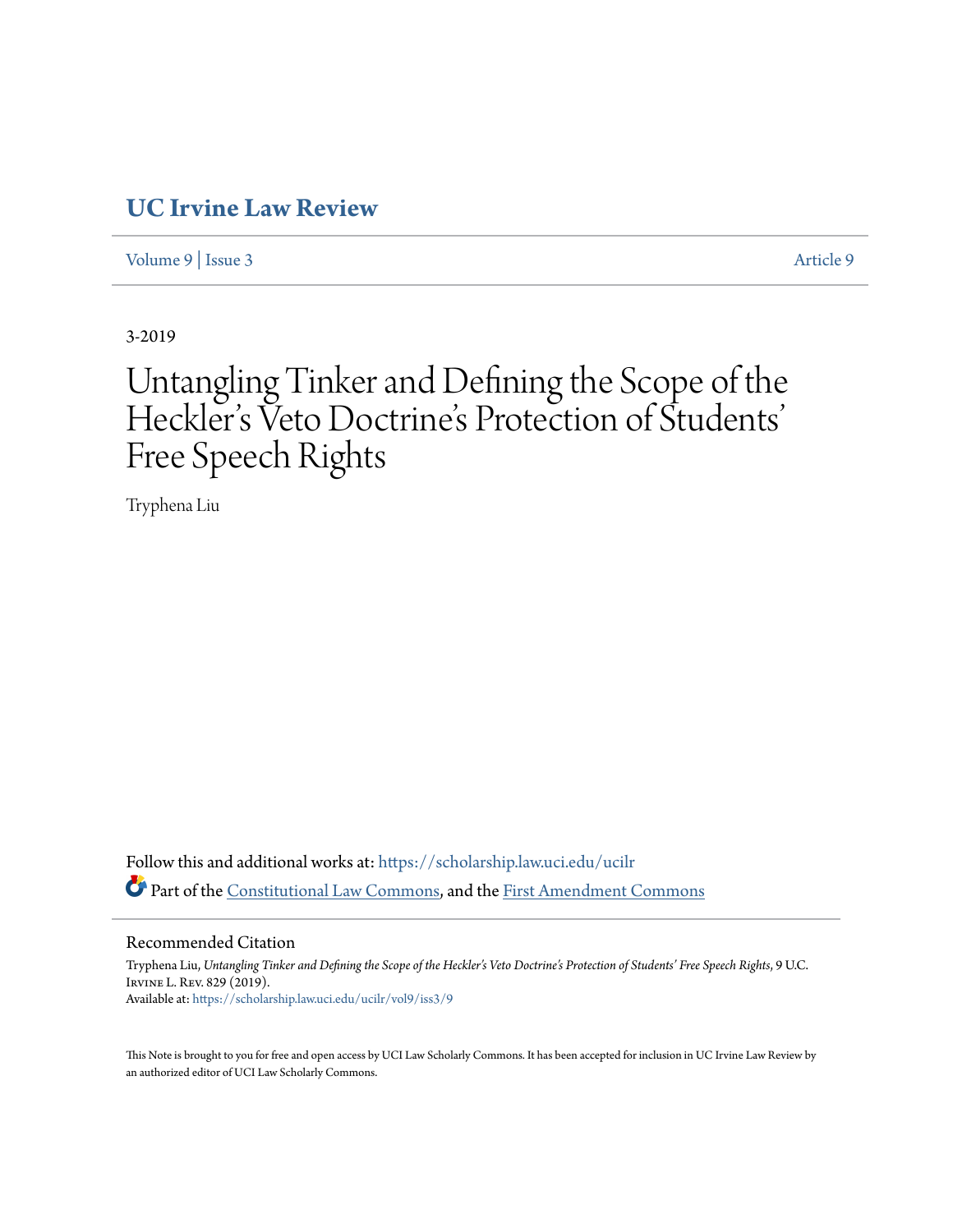# **[UC Irvine Law Review](https://scholarship.law.uci.edu/ucilr?utm_source=scholarship.law.uci.edu%2Fucilr%2Fvol9%2Fiss3%2F9&utm_medium=PDF&utm_campaign=PDFCoverPages)**

[Volume 9](https://scholarship.law.uci.edu/ucilr/vol9?utm_source=scholarship.law.uci.edu%2Fucilr%2Fvol9%2Fiss3%2F9&utm_medium=PDF&utm_campaign=PDFCoverPages) | [Issue 3](https://scholarship.law.uci.edu/ucilr/vol9/iss3?utm_source=scholarship.law.uci.edu%2Fucilr%2Fvol9%2Fiss3%2F9&utm_medium=PDF&utm_campaign=PDFCoverPages) [Article 9](https://scholarship.law.uci.edu/ucilr/vol9/iss3/9?utm_source=scholarship.law.uci.edu%2Fucilr%2Fvol9%2Fiss3%2F9&utm_medium=PDF&utm_campaign=PDFCoverPages)

3-2019

## Untangling Tinker and Defining the Scope of the Heckler 's Veto Doctrine's Protection of Students ' Free Speech Rights

Tryphena Liu

Follow this and additional works at: [https://scholarship.law.uci.edu/ucilr](https://scholarship.law.uci.edu/ucilr?utm_source=scholarship.law.uci.edu%2Fucilr%2Fvol9%2Fiss3%2F9&utm_medium=PDF&utm_campaign=PDFCoverPages) Part of the [Constitutional Law Commons,](http://network.bepress.com/hgg/discipline/589?utm_source=scholarship.law.uci.edu%2Fucilr%2Fvol9%2Fiss3%2F9&utm_medium=PDF&utm_campaign=PDFCoverPages) and the [First Amendment Commons](http://network.bepress.com/hgg/discipline/1115?utm_source=scholarship.law.uci.edu%2Fucilr%2Fvol9%2Fiss3%2F9&utm_medium=PDF&utm_campaign=PDFCoverPages)

## Recommended Citation

Tryphena Liu, *Untangling Tinker and Defining the Scope of the Heckler's Veto Doctrine's Protection of Students' Free Speech Rights*, 9 U.C. Irvine L. Rev. 829 (2019). Available at: [https://scholarship.law.uci.edu/ucilr/vol9/iss3/9](https://scholarship.law.uci.edu/ucilr/vol9/iss3/9?utm_source=scholarship.law.uci.edu%2Fucilr%2Fvol9%2Fiss3%2F9&utm_medium=PDF&utm_campaign=PDFCoverPages)

This Note is brought to you for free and open access by UCI Law Scholarly Commons. It has been accepted for inclusion in UC Irvine Law Review by an authorized editor of UCI Law Scholarly Commons.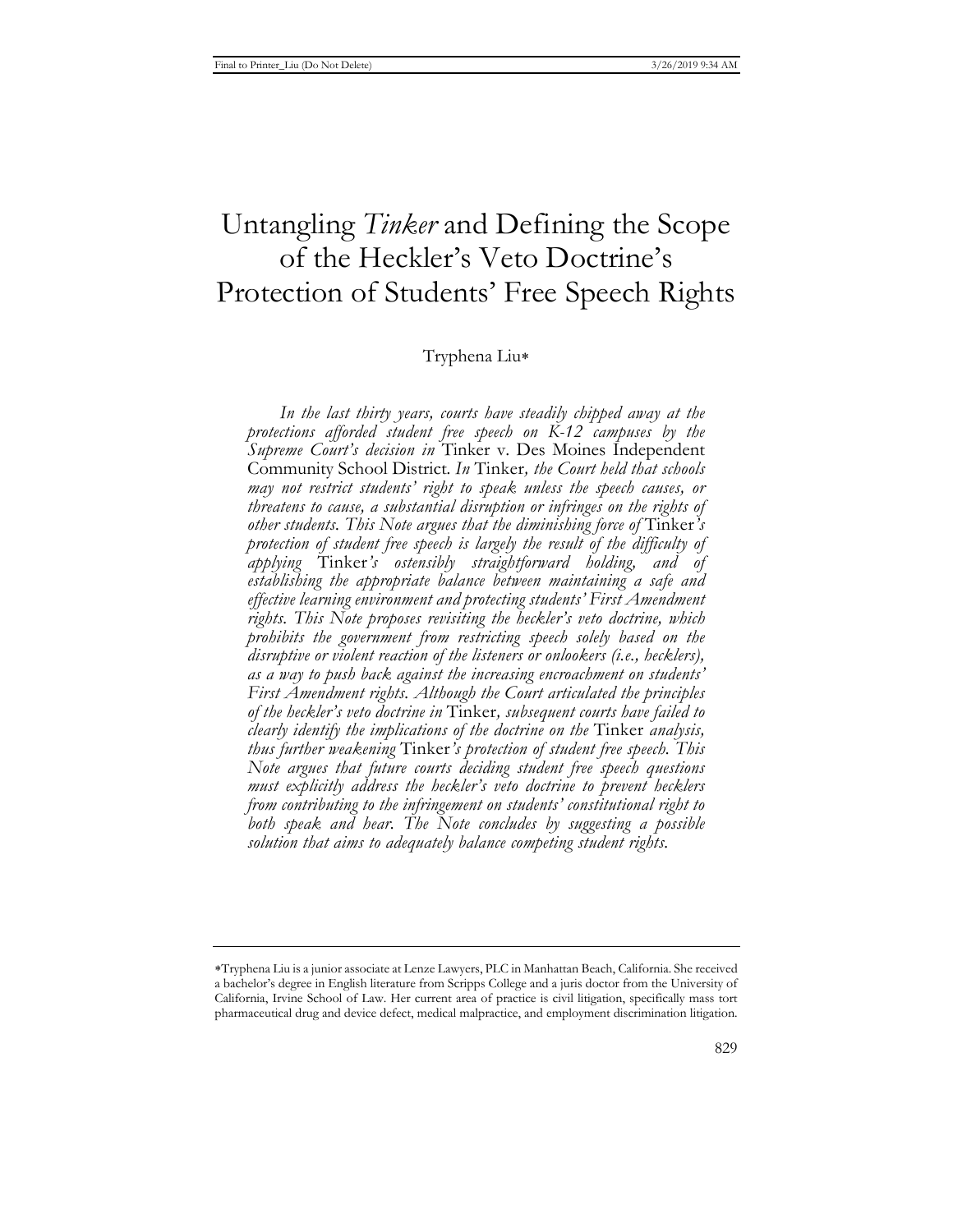# Untangling *Tinker* and Defining the Scope of the Heckler's Veto Doctrine's Protection of Students' Free Speech Rights

## Tryphena Liu

*In the last thirty years, courts have steadily chipped away at the protections afforded student free speech on K-12 campuses by the Supreme Court's decision in* Tinker v. Des Moines Independent Community School District*. In* Tinker*, the Court held that schools may not restrict students' right to speak unless the speech causes, or threatens to cause, a substantial disruption or infringes on the rights of other students. This Note argues that the diminishing force of* Tinker*'s protection of student free speech is largely the result of the difficulty of applying* Tinker*'s ostensibly straightforward holding, and of establishing the appropriate balance between maintaining a safe and effective learning environment and protecting students' First Amendment rights. This Note proposes revisiting the heckler's veto doctrine, which prohibits the government from restricting speech solely based on the disruptive or violent reaction of the listeners or onlookers (i.e., hecklers), as a way to push back against the increasing encroachment on students' First Amendment rights. Although the Court articulated the principles of the heckler's veto doctrine in* Tinker*, subsequent courts have failed to clearly identify the implications of the doctrine on the* Tinker *analysis, thus further weakening* Tinker*'s protection of student free speech. This Note argues that future courts deciding student free speech questions must explicitly address the heckler's veto doctrine to prevent hecklers from contributing to the infringement on students' constitutional right to both speak and hear. The Note concludes by suggesting a possible solution that aims to adequately balance competing student rights.* 

Tryphena Liu is a junior associate at Lenze Lawyers, PLC in Manhattan Beach, California. She received a bachelor's degree in English literature from Scripps College and a juris doctor from the University of California, Irvine School of Law. Her current area of practice is civil litigation, specifically mass tort pharmaceutical drug and device defect, medical malpractice, and employment discrimination litigation.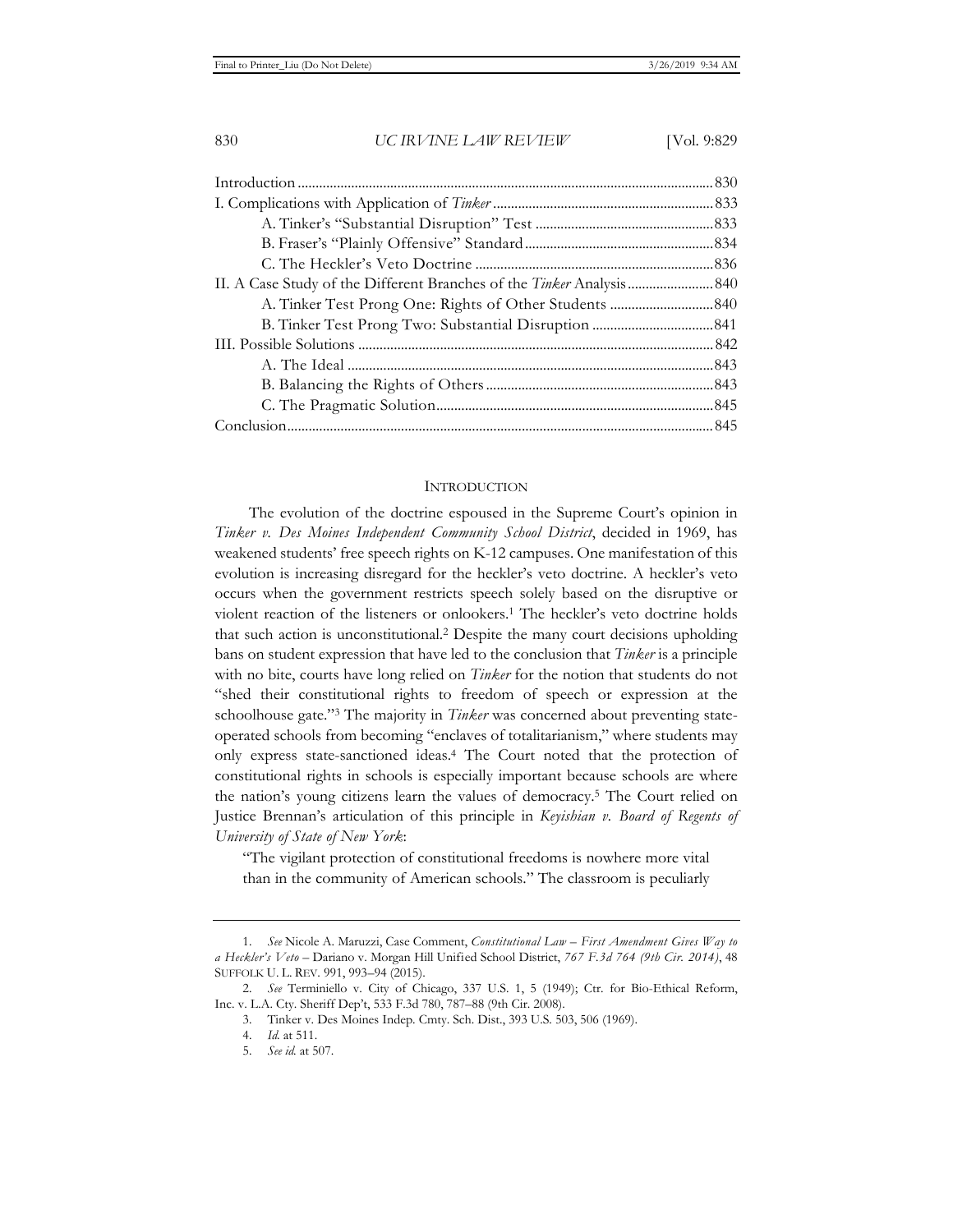#### **INTRODUCTION**

The evolution of the doctrine espoused in the Supreme Court's opinion in *Tinker v. Des Moines Independent Community School District*, decided in 1969, has weakened students' free speech rights on K-12 campuses. One manifestation of this evolution is increasing disregard for the heckler's veto doctrine. A heckler's veto occurs when the government restricts speech solely based on the disruptive or violent reaction of the listeners or onlookers.1 The heckler's veto doctrine holds that such action is unconstitutional.2 Despite the many court decisions upholding bans on student expression that have led to the conclusion that *Tinker* is a principle with no bite, courts have long relied on *Tinker* for the notion that students do not "shed their constitutional rights to freedom of speech or expression at the schoolhouse gate."3 The majority in *Tinker* was concerned about preventing stateoperated schools from becoming "enclaves of totalitarianism," where students may only express state-sanctioned ideas.4 The Court noted that the protection of constitutional rights in schools is especially important because schools are where the nation's young citizens learn the values of democracy.5 The Court relied on Justice Brennan's articulation of this principle in *Keyishian v. Board of Regents of University of State of New York*:

"The vigilant protection of constitutional freedoms is nowhere more vital than in the community of American schools." The classroom is peculiarly

<sup>1.</sup> *See* Nicole A. Maruzzi, Case Comment, *Constitutional Law – First Amendment Gives Way to a Heckler's Veto –* Dariano v. Morgan Hill Unified School District, *767 F.3d 764 (9th Cir. 2014)*, 48 SUFFOLK U. L. REV. 991, 993–94 (2015).

<sup>2.</sup> *See* Terminiello v. City of Chicago, 337 U.S. 1, 5 (1949); Ctr. for Bio-Ethical Reform, Inc. v. L.A. Cty. Sheriff Dep't, 533 F.3d 780, 787–88 (9th Cir. 2008).

<sup>3.</sup> Tinker v. Des Moines Indep. Cmty. Sch. Dist., 393 U.S. 503, 506 (1969).

<sup>4.</sup> *Id.* at 511.

<sup>5.</sup> *See id.* at 507.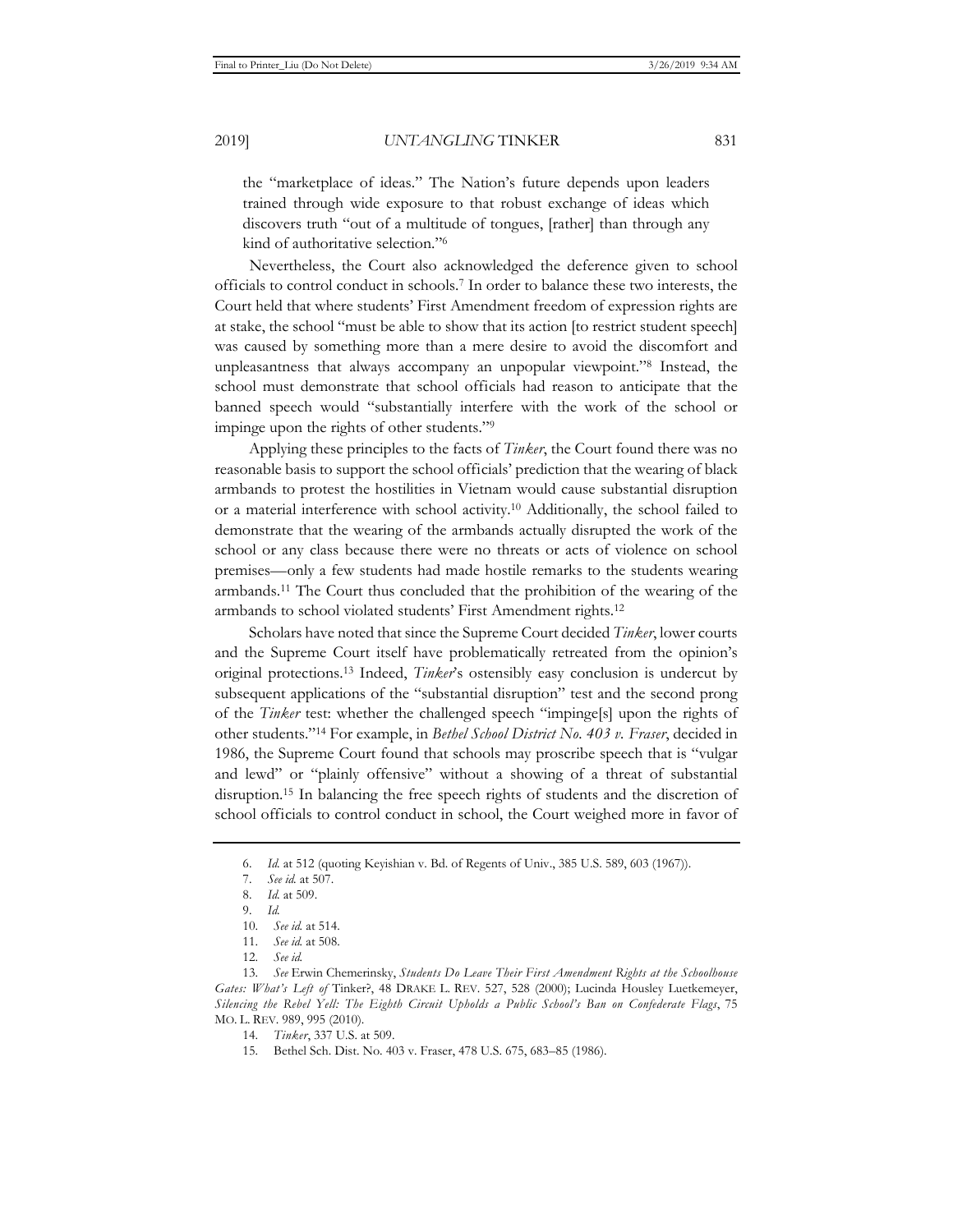the "marketplace of ideas." The Nation's future depends upon leaders trained through wide exposure to that robust exchange of ideas which discovers truth "out of a multitude of tongues, [rather] than through any kind of authoritative selection."6

Nevertheless, the Court also acknowledged the deference given to school officials to control conduct in schools.7 In order to balance these two interests, the Court held that where students' First Amendment freedom of expression rights are at stake, the school "must be able to show that its action [to restrict student speech] was caused by something more than a mere desire to avoid the discomfort and unpleasantness that always accompany an unpopular viewpoint."8 Instead, the school must demonstrate that school officials had reason to anticipate that the banned speech would "substantially interfere with the work of the school or impinge upon the rights of other students."9

Applying these principles to the facts of *Tinker*, the Court found there was no reasonable basis to support the school officials' prediction that the wearing of black armbands to protest the hostilities in Vietnam would cause substantial disruption or a material interference with school activity.10 Additionally, the school failed to demonstrate that the wearing of the armbands actually disrupted the work of the school or any class because there were no threats or acts of violence on school premises—only a few students had made hostile remarks to the students wearing armbands.11 The Court thus concluded that the prohibition of the wearing of the armbands to school violated students' First Amendment rights.12

Scholars have noted that since the Supreme Court decided *Tinker*, lower courts and the Supreme Court itself have problematically retreated from the opinion's original protections.13 Indeed, *Tinker*'s ostensibly easy conclusion is undercut by subsequent applications of the "substantial disruption" test and the second prong of the *Tinker* test: whether the challenged speech "impinge[s] upon the rights of other students."14 For example, in *Bethel School District No. 403 v. Fraser*, decided in 1986, the Supreme Court found that schools may proscribe speech that is "vulgar and lewd" or "plainly offensive" without a showing of a threat of substantial disruption.15 In balancing the free speech rights of students and the discretion of school officials to control conduct in school, the Court weighed more in favor of

13. *See* Erwin Chemerinsky, *Students Do Leave Their First Amendment Rights at the Schoolhouse Gates: What's Left of* Tinker?, 48 DRAKE L. REV. 527, 528 (2000); Lucinda Housley Luetkemeyer, *Silencing the Rebel Yell: The Eighth Circuit Upholds a Public School's Ban on Confederate Flags*, 75 MO. L. REV. 989, 995 (2010).

<sup>6.</sup> *Id.* at 512 (quoting Keyishian v. Bd. of Regents of Univ., 385 U.S. 589, 603 (1967)).

<sup>7.</sup> *See id.* at 507.

<sup>8.</sup> *Id.* at 509.

<sup>9.</sup> *Id.*

<sup>10.</sup> *See id.* at 514.

<sup>11.</sup> *See id.* at 508.

<sup>12.</sup> *See id.*

<sup>14.</sup> *Tinker*, 337 U.S. at 509.

<sup>15.</sup> Bethel Sch. Dist. No. 403 v. Fraser, 478 U.S. 675, 683–85 (1986).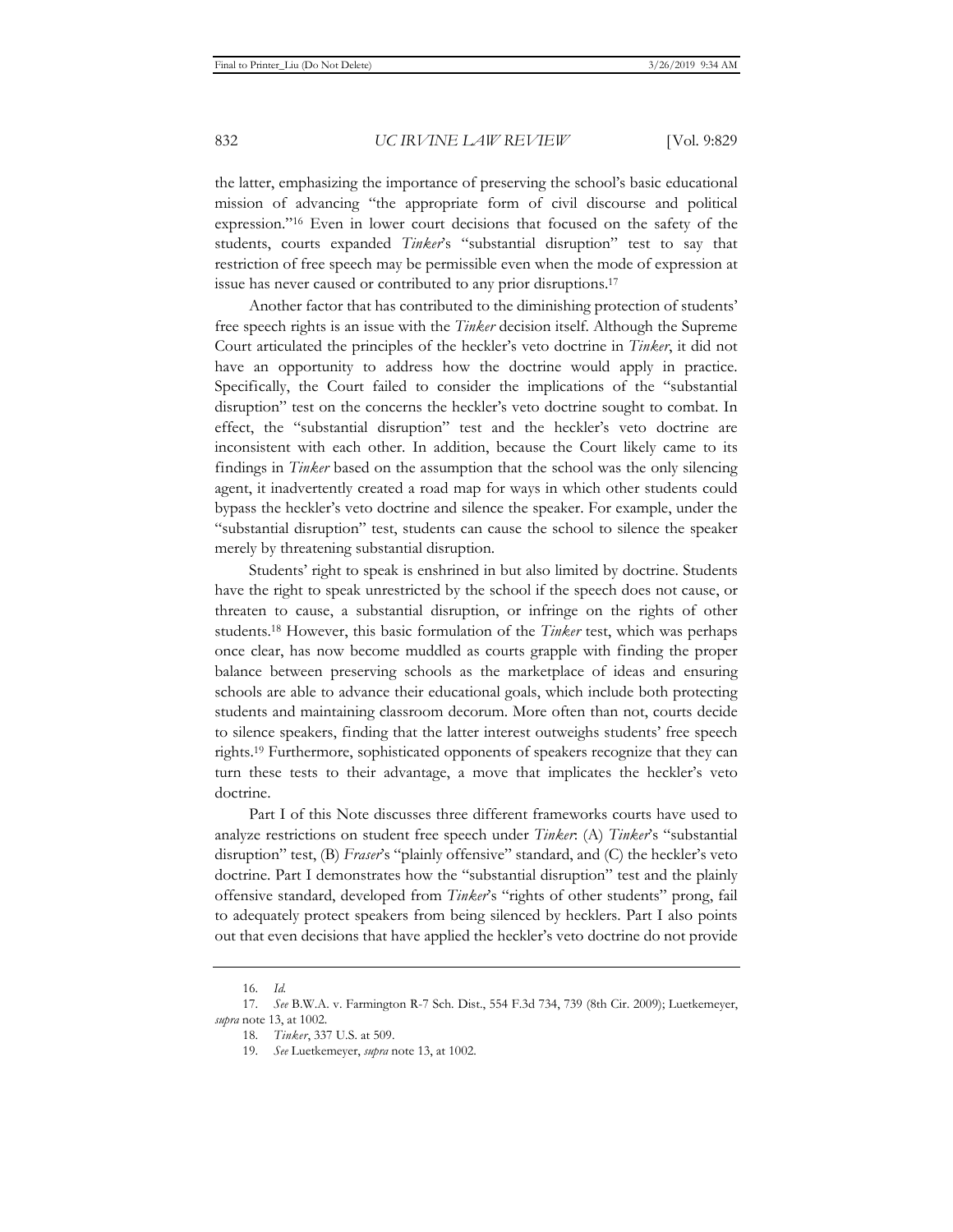the latter, emphasizing the importance of preserving the school's basic educational mission of advancing "the appropriate form of civil discourse and political expression."16 Even in lower court decisions that focused on the safety of the students, courts expanded *Tinker*'s "substantial disruption" test to say that restriction of free speech may be permissible even when the mode of expression at issue has never caused or contributed to any prior disruptions.17

Another factor that has contributed to the diminishing protection of students' free speech rights is an issue with the *Tinker* decision itself. Although the Supreme Court articulated the principles of the heckler's veto doctrine in *Tinker*, it did not have an opportunity to address how the doctrine would apply in practice. Specifically, the Court failed to consider the implications of the "substantial disruption" test on the concerns the heckler's veto doctrine sought to combat. In effect, the "substantial disruption" test and the heckler's veto doctrine are inconsistent with each other. In addition, because the Court likely came to its findings in *Tinker* based on the assumption that the school was the only silencing agent, it inadvertently created a road map for ways in which other students could bypass the heckler's veto doctrine and silence the speaker. For example, under the "substantial disruption" test, students can cause the school to silence the speaker merely by threatening substantial disruption.

Students' right to speak is enshrined in but also limited by doctrine. Students have the right to speak unrestricted by the school if the speech does not cause, or threaten to cause, a substantial disruption, or infringe on the rights of other students.18 However, this basic formulation of the *Tinker* test, which was perhaps once clear, has now become muddled as courts grapple with finding the proper balance between preserving schools as the marketplace of ideas and ensuring schools are able to advance their educational goals, which include both protecting students and maintaining classroom decorum. More often than not, courts decide to silence speakers, finding that the latter interest outweighs students' free speech rights.19 Furthermore, sophisticated opponents of speakers recognize that they can turn these tests to their advantage, a move that implicates the heckler's veto doctrine.

Part I of this Note discusses three different frameworks courts have used to analyze restrictions on student free speech under *Tinker*: (A) *Tinker*'s "substantial disruption" test, (B) *Fraser*'s "plainly offensive" standard, and (C) the heckler's veto doctrine. Part I demonstrates how the "substantial disruption" test and the plainly offensive standard, developed from *Tinker*'s "rights of other students" prong, fail to adequately protect speakers from being silenced by hecklers. Part I also points out that even decisions that have applied the heckler's veto doctrine do not provide

<sup>16.</sup> *Id.*

<sup>17.</sup> *See* B.W.A. v. Farmington R-7 Sch. Dist., 554 F.3d 734, 739 (8th Cir. 2009); Luetkemeyer, *supra* note 13, at 1002.

<sup>18.</sup> *Tinker*, 337 U.S. at 509.

<sup>19.</sup> *See* Luetkemeyer, *supra* note 13, at 1002.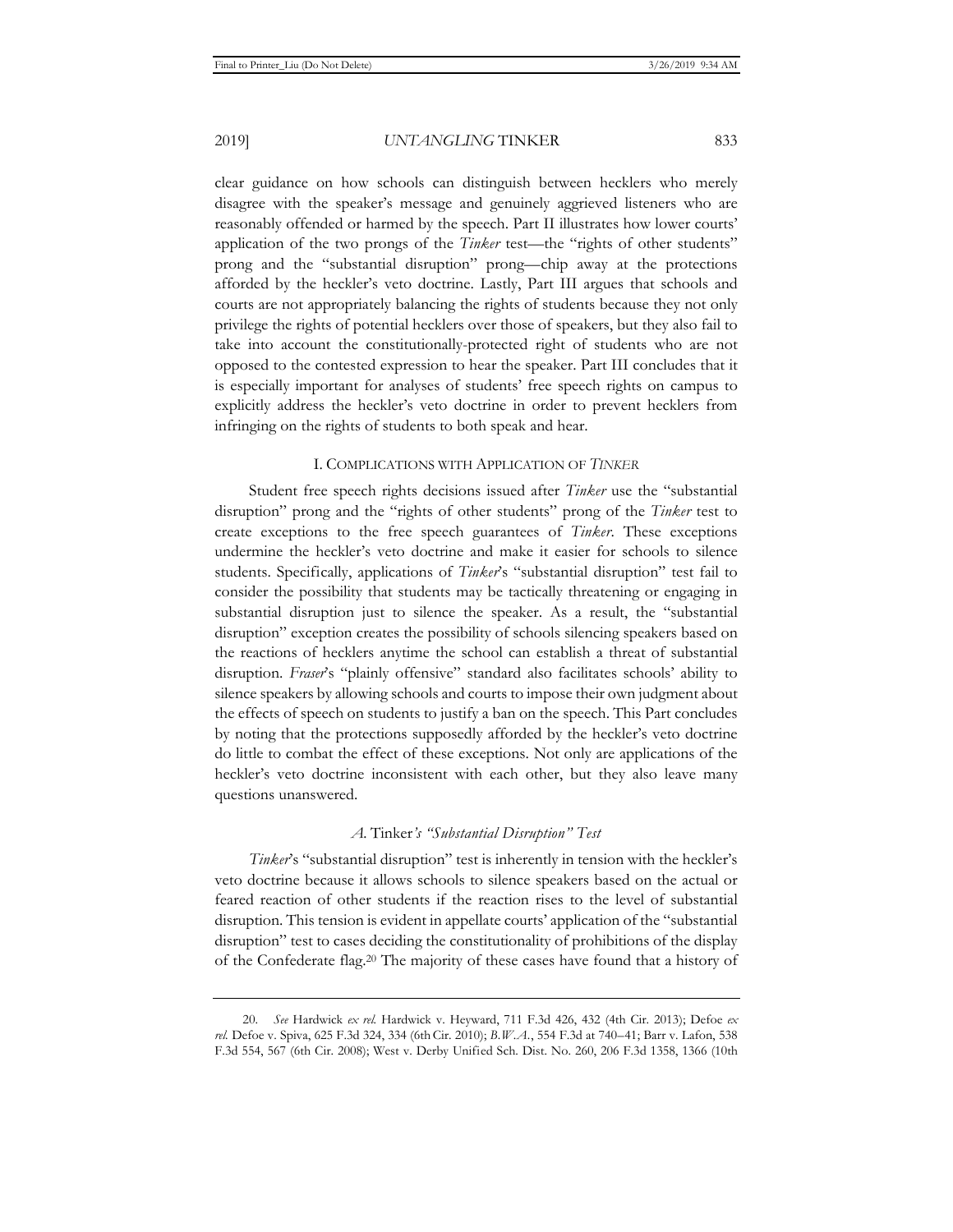clear guidance on how schools can distinguish between hecklers who merely disagree with the speaker's message and genuinely aggrieved listeners who are reasonably offended or harmed by the speech. Part II illustrates how lower courts' application of the two prongs of the *Tinker* test—the "rights of other students" prong and the "substantial disruption" prong—chip away at the protections afforded by the heckler's veto doctrine. Lastly, Part III argues that schools and courts are not appropriately balancing the rights of students because they not only privilege the rights of potential hecklers over those of speakers, but they also fail to take into account the constitutionally-protected right of students who are not opposed to the contested expression to hear the speaker. Part III concludes that it is especially important for analyses of students' free speech rights on campus to explicitly address the heckler's veto doctrine in order to prevent hecklers from infringing on the rights of students to both speak and hear.

#### I. COMPLICATIONS WITH APPLICATION OF *TINKER*

Student free speech rights decisions issued after *Tinker* use the "substantial disruption" prong and the "rights of other students" prong of the *Tinker* test to create exceptions to the free speech guarantees of *Tinker*. These exceptions undermine the heckler's veto doctrine and make it easier for schools to silence students. Specifically, applications of *Tinker*'s "substantial disruption" test fail to consider the possibility that students may be tactically threatening or engaging in substantial disruption just to silence the speaker. As a result, the "substantial disruption" exception creates the possibility of schools silencing speakers based on the reactions of hecklers anytime the school can establish a threat of substantial disruption. *Fraser*'s "plainly offensive" standard also facilitates schools' ability to silence speakers by allowing schools and courts to impose their own judgment about the effects of speech on students to justify a ban on the speech. This Part concludes by noting that the protections supposedly afforded by the heckler's veto doctrine do little to combat the effect of these exceptions. Not only are applications of the heckler's veto doctrine inconsistent with each other, but they also leave many questions unanswered.

#### *A.* Tinker*'s "Substantial Disruption" Test*

*Tinker*'s "substantial disruption" test is inherently in tension with the heckler's veto doctrine because it allows schools to silence speakers based on the actual or feared reaction of other students if the reaction rises to the level of substantial disruption. This tension is evident in appellate courts' application of the "substantial disruption" test to cases deciding the constitutionality of prohibitions of the display of the Confederate flag.20 The majority of these cases have found that a history of

<sup>20.</sup> *See* Hardwick *ex rel.* Hardwick v. Heyward, 711 F.3d 426, 432 (4th Cir. 2013); Defoe *ex rel.* Defoe v. Spiva, 625 F.3d 324, 334 (6thCir. 2010); *B.W.A.*, 554 F.3d at 740–41; Barr v. Lafon, 538 F.3d 554, 567 (6th Cir. 2008); West v. Derby Unified Sch. Dist. No. 260, 206 F.3d 1358, 1366 (10th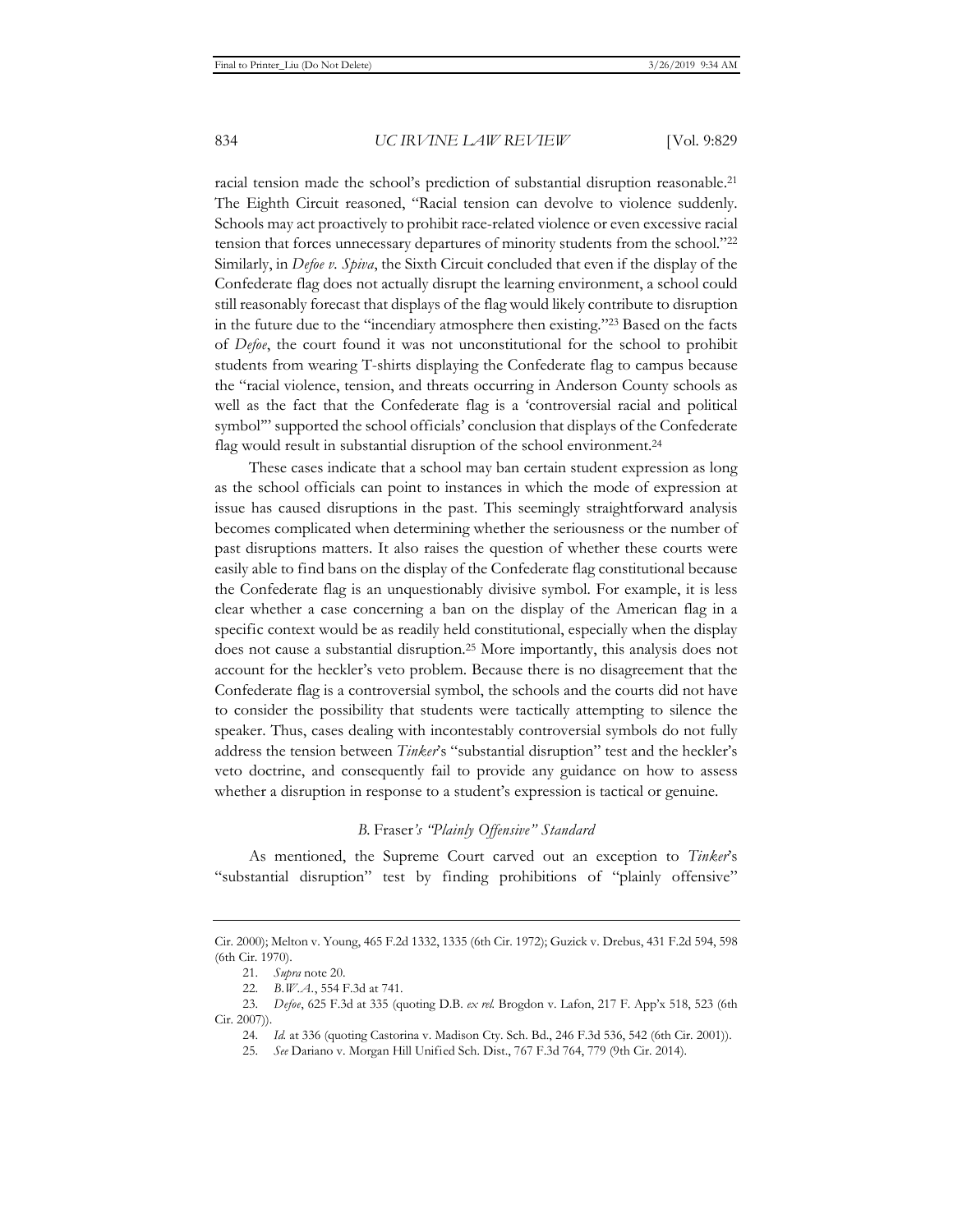racial tension made the school's prediction of substantial disruption reasonable.<sup>21</sup> The Eighth Circuit reasoned, "Racial tension can devolve to violence suddenly. Schools may act proactively to prohibit race-related violence or even excessive racial tension that forces unnecessary departures of minority students from the school."22 Similarly, in *Defoe v. Spiva*, the Sixth Circuit concluded that even if the display of the Confederate flag does not actually disrupt the learning environment, a school could still reasonably forecast that displays of the flag would likely contribute to disruption in the future due to the "incendiary atmosphere then existing."23 Based on the facts of *Defoe*, the court found it was not unconstitutional for the school to prohibit students from wearing T-shirts displaying the Confederate flag to campus because the "racial violence, tension, and threats occurring in Anderson County schools as well as the fact that the Confederate flag is a 'controversial racial and political symbol'" supported the school officials' conclusion that displays of the Confederate flag would result in substantial disruption of the school environment.<sup>24</sup>

These cases indicate that a school may ban certain student expression as long as the school officials can point to instances in which the mode of expression at issue has caused disruptions in the past. This seemingly straightforward analysis becomes complicated when determining whether the seriousness or the number of past disruptions matters. It also raises the question of whether these courts were easily able to find bans on the display of the Confederate flag constitutional because the Confederate flag is an unquestionably divisive symbol. For example, it is less clear whether a case concerning a ban on the display of the American flag in a specific context would be as readily held constitutional, especially when the display does not cause a substantial disruption.25 More importantly, this analysis does not account for the heckler's veto problem. Because there is no disagreement that the Confederate flag is a controversial symbol, the schools and the courts did not have to consider the possibility that students were tactically attempting to silence the speaker. Thus, cases dealing with incontestably controversial symbols do not fully address the tension between *Tinker*'s "substantial disruption" test and the heckler's veto doctrine, and consequently fail to provide any guidance on how to assess whether a disruption in response to a student's expression is tactical or genuine.

#### *B.* Fraser*'s "Plainly Offensive" Standard*

As mentioned, the Supreme Court carved out an exception to *Tinker*'s "substantial disruption" test by finding prohibitions of "plainly offensive"

Cir. 2000); Melton v. Young, 465 F.2d 1332, 1335 (6th Cir. 1972); Guzick v. Drebus, 431 F.2d 594, 598 (6th Cir. 1970).

<sup>21.</sup> *Supra* note 20.

<sup>22.</sup> *B.W.A.*, 554 F.3d at 741.

<sup>23.</sup> *Defoe*, 625 F.3d at 335 (quoting D.B. *ex rel.* Brogdon v. Lafon, 217 F. App'x 518, 523 (6th Cir. 2007)).

<sup>24.</sup> *Id.* at 336 (quoting Castorina v. Madison Cty. Sch. Bd., 246 F.3d 536, 542 (6th Cir. 2001)).

<sup>25.</sup> *See* Dariano v. Morgan Hill Unified Sch. Dist., 767 F.3d 764, 779 (9th Cir. 2014).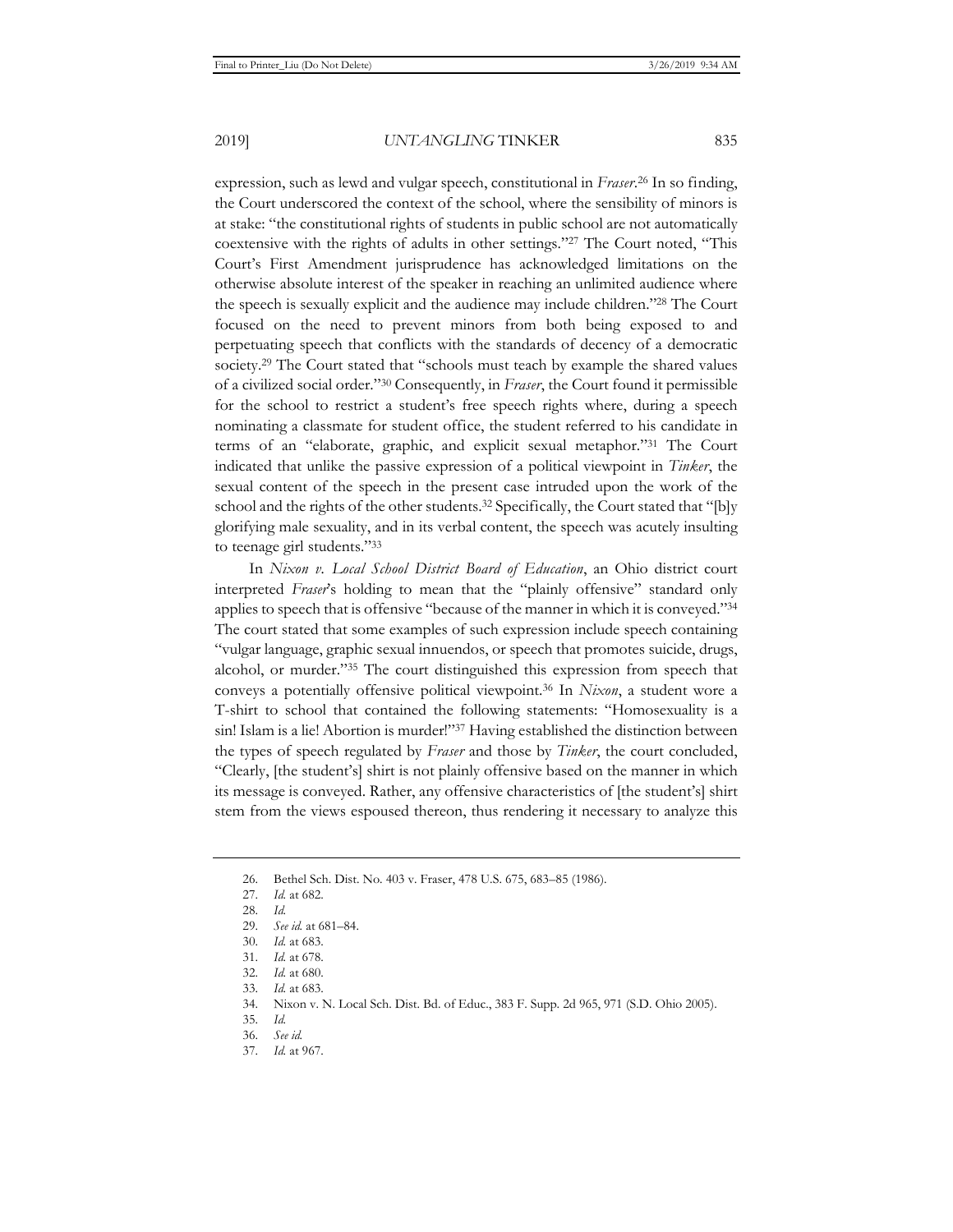expression, such as lewd and vulgar speech, constitutional in *Fraser*. 26 In so finding, the Court underscored the context of the school, where the sensibility of minors is at stake: "the constitutional rights of students in public school are not automatically coextensive with the rights of adults in other settings."27 The Court noted, "This Court's First Amendment jurisprudence has acknowledged limitations on the otherwise absolute interest of the speaker in reaching an unlimited audience where the speech is sexually explicit and the audience may include children."28 The Court focused on the need to prevent minors from both being exposed to and perpetuating speech that conflicts with the standards of decency of a democratic society.<sup>29</sup> The Court stated that "schools must teach by example the shared values of a civilized social order."30 Consequently, in *Fraser*, the Court found it permissible for the school to restrict a student's free speech rights where, during a speech nominating a classmate for student office, the student referred to his candidate in terms of an "elaborate, graphic, and explicit sexual metaphor."31 The Court indicated that unlike the passive expression of a political viewpoint in *Tinker*, the sexual content of the speech in the present case intruded upon the work of the school and the rights of the other students.<sup>32</sup> Specifically, the Court stated that "[b]y glorifying male sexuality, and in its verbal content, the speech was acutely insulting to teenage girl students."33

In *Nixon v. Local School District Board of Education*, an Ohio district court interpreted *Fraser*'s holding to mean that the "plainly offensive" standard only applies to speech that is offensive "because of the manner in which it is conveyed."34 The court stated that some examples of such expression include speech containing "vulgar language, graphic sexual innuendos, or speech that promotes suicide, drugs, alcohol, or murder."35 The court distinguished this expression from speech that conveys a potentially offensive political viewpoint.36 In *Nixon*, a student wore a T-shirt to school that contained the following statements: "Homosexuality is a sin! Islam is a lie! Abortion is murder!"<sup>37</sup> Having established the distinction between the types of speech regulated by *Fraser* and those by *Tinker*, the court concluded, "Clearly, [the student's] shirt is not plainly offensive based on the manner in which its message is conveyed. Rather, any offensive characteristics of [the student's] shirt stem from the views espoused thereon, thus rendering it necessary to analyze this

<sup>26.</sup> Bethel Sch. Dist. No. 403 v. Fraser, 478 U.S. 675, 683–85 (1986).

<sup>27.</sup> *Id.* at 682.

<sup>28.</sup> *Id.*

<sup>29.</sup> *See id.* at 681–84.

<sup>30.</sup> *Id.* at 683.

<sup>31.</sup> *Id.* at 678.

<sup>32.</sup> *Id.* at 680.

<sup>33.</sup> *Id.* at 683.

<sup>34.</sup> Nixon v. N. Local Sch. Dist. Bd. of Educ., 383 F. Supp. 2d 965, 971 (S.D. Ohio 2005).

<sup>35.</sup> *Id.*

<sup>36.</sup> *See id.*

<sup>37.</sup> *Id.* at 967.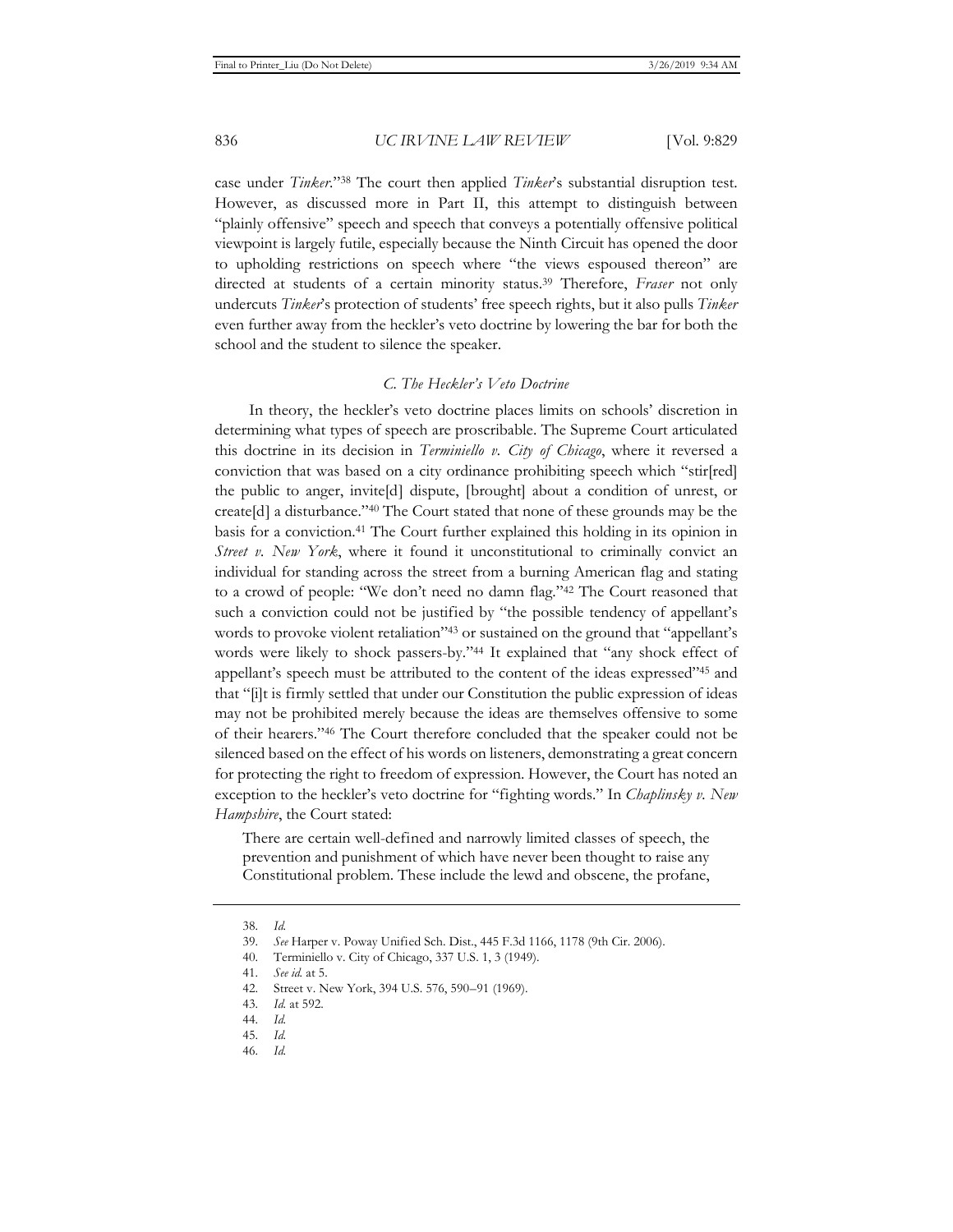case under *Tinker*."38 The court then applied *Tinker*'s substantial disruption test. However, as discussed more in Part II, this attempt to distinguish between "plainly offensive" speech and speech that conveys a potentially offensive political viewpoint is largely futile, especially because the Ninth Circuit has opened the door to upholding restrictions on speech where "the views espoused thereon" are directed at students of a certain minority status.39 Therefore, *Fraser* not only undercuts *Tinker*'s protection of students' free speech rights, but it also pulls *Tinker* even further away from the heckler's veto doctrine by lowering the bar for both the school and the student to silence the speaker.

#### *C. The Heckler's Veto Doctrine*

In theory, the heckler's veto doctrine places limits on schools' discretion in determining what types of speech are proscribable. The Supreme Court articulated this doctrine in its decision in *Terminiello v. City of Chicago*, where it reversed a conviction that was based on a city ordinance prohibiting speech which "stir[red] the public to anger, invite[d] dispute, [brought] about a condition of unrest, or create[d] a disturbance."40 The Court stated that none of these grounds may be the basis for a conviction.41 The Court further explained this holding in its opinion in *Street v. New York*, where it found it unconstitutional to criminally convict an individual for standing across the street from a burning American flag and stating to a crowd of people: "We don't need no damn flag."42 The Court reasoned that such a conviction could not be justified by "the possible tendency of appellant's words to provoke violent retaliation<sup>243</sup> or sustained on the ground that "appellant's words were likely to shock passers-by."44 It explained that "any shock effect of appellant's speech must be attributed to the content of the ideas expressed"45 and that "[i]t is firmly settled that under our Constitution the public expression of ideas may not be prohibited merely because the ideas are themselves offensive to some of their hearers."46 The Court therefore concluded that the speaker could not be silenced based on the effect of his words on listeners, demonstrating a great concern for protecting the right to freedom of expression. However, the Court has noted an exception to the heckler's veto doctrine for "fighting words." In *Chaplinsky v. New Hampshire*, the Court stated:

There are certain well-defined and narrowly limited classes of speech, the prevention and punishment of which have never been thought to raise any Constitutional problem. These include the lewd and obscene, the profane,

<sup>38.</sup> *Id.*

<sup>39.</sup> *See* Harper v. Poway Unified Sch. Dist., 445 F.3d 1166, 1178 (9th Cir. 2006).

<sup>40.</sup> Terminiello v. City of Chicago, 337 U.S. 1, 3 (1949).

<sup>41.</sup> *See id.* at 5.

<sup>42.</sup> Street v. New York, 394 U.S. 576, 590–91 (1969).

<sup>43.</sup> *Id.* at 592.

<sup>44.</sup> *Id.* 

<sup>45.</sup> *Id.* 

<sup>46.</sup> *Id.*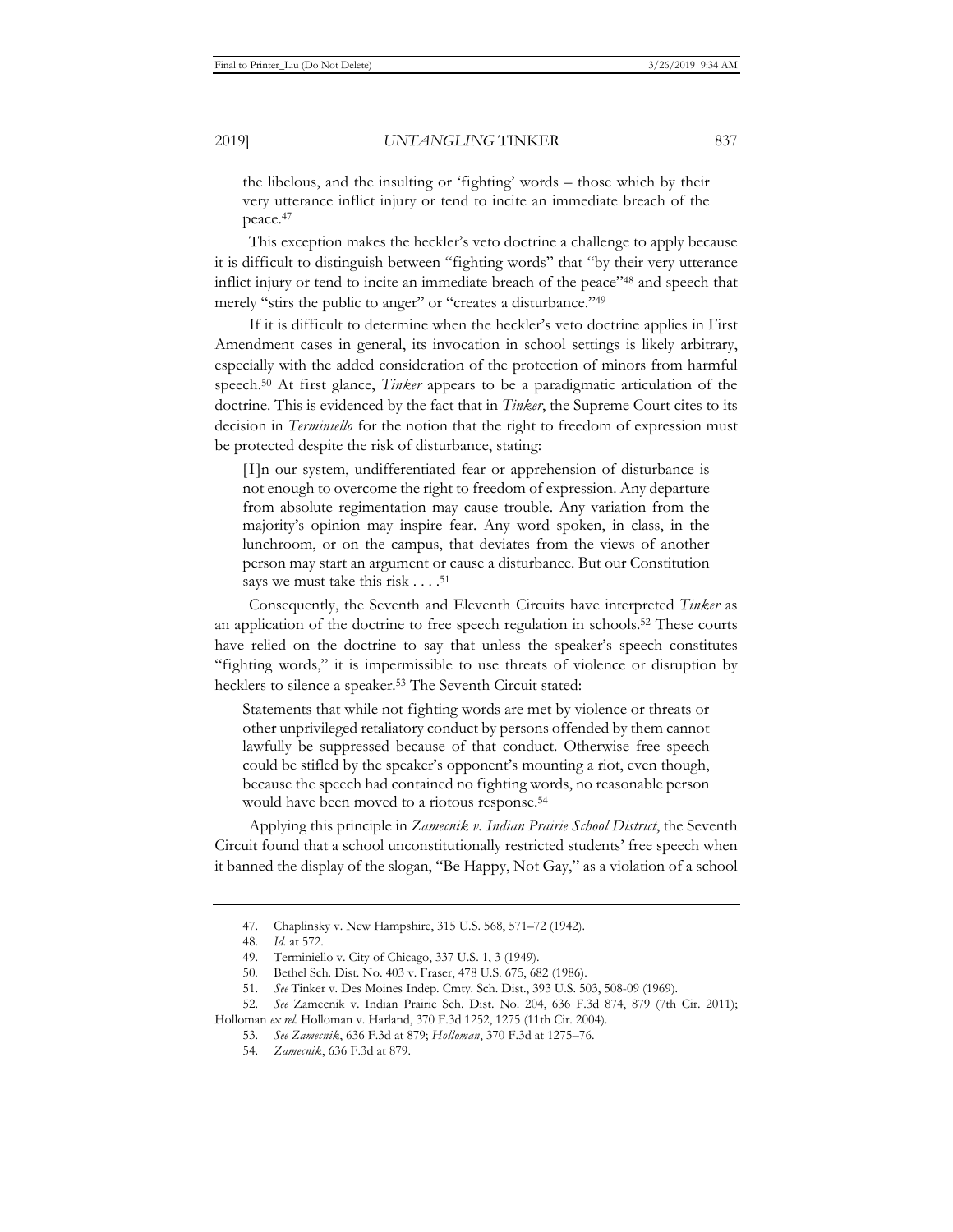the libelous, and the insulting or 'fighting' words – those which by their very utterance inflict injury or tend to incite an immediate breach of the peace.47

This exception makes the heckler's veto doctrine a challenge to apply because it is difficult to distinguish between "fighting words" that "by their very utterance inflict injury or tend to incite an immediate breach of the peace"48 and speech that merely "stirs the public to anger" or "creates a disturbance."49

If it is difficult to determine when the heckler's veto doctrine applies in First Amendment cases in general, its invocation in school settings is likely arbitrary, especially with the added consideration of the protection of minors from harmful speech.50 At first glance, *Tinker* appears to be a paradigmatic articulation of the doctrine. This is evidenced by the fact that in *Tinker*, the Supreme Court cites to its decision in *Terminiello* for the notion that the right to freedom of expression must be protected despite the risk of disturbance, stating:

[I]n our system, undifferentiated fear or apprehension of disturbance is not enough to overcome the right to freedom of expression. Any departure from absolute regimentation may cause trouble. Any variation from the majority's opinion may inspire fear. Any word spoken, in class, in the lunchroom, or on the campus, that deviates from the views of another person may start an argument or cause a disturbance. But our Constitution says we must take this risk  $\dots$ .<sup>51</sup>

Consequently, the Seventh and Eleventh Circuits have interpreted *Tinker* as an application of the doctrine to free speech regulation in schools.52 These courts have relied on the doctrine to say that unless the speaker's speech constitutes "fighting words," it is impermissible to use threats of violence or disruption by hecklers to silence a speaker.53 The Seventh Circuit stated:

Statements that while not fighting words are met by violence or threats or other unprivileged retaliatory conduct by persons offended by them cannot lawfully be suppressed because of that conduct. Otherwise free speech could be stifled by the speaker's opponent's mounting a riot, even though, because the speech had contained no fighting words, no reasonable person would have been moved to a riotous response.<sup>54</sup>

Applying this principle in *Zamecnik v. Indian Prairie School District*, the Seventh Circuit found that a school unconstitutionally restricted students' free speech when it banned the display of the slogan, "Be Happy, Not Gay," as a violation of a school

<sup>47.</sup> Chaplinsky v. New Hampshire, 315 U.S. 568, 571–72 (1942).

<sup>48.</sup> *Id.* at 572.

<sup>49.</sup> Terminiello v. City of Chicago, 337 U.S. 1, 3 (1949).

<sup>50</sup>*.* Bethel Sch. Dist. No. 403 v. Fraser, 478 U.S. 675, 682 (1986).

<sup>51.</sup> *See* Tinker v. Des Moines Indep. Cmty. Sch. Dist., 393 U.S. 503, 508-09 (1969).

<sup>52.</sup> *See* Zamecnik v. Indian Prairie Sch. Dist. No. 204, 636 F.3d 874, 879 (7th Cir. 2011); Holloman *ex rel.* Holloman v. Harland, 370 F.3d 1252, 1275 (11th Cir. 2004).

<sup>53.</sup> *See Zamecnik*, 636 F.3d at 879; *Holloman*, 370 F.3d at 1275–76.

<sup>54.</sup> *Zamecnik*, 636 F.3d at 879.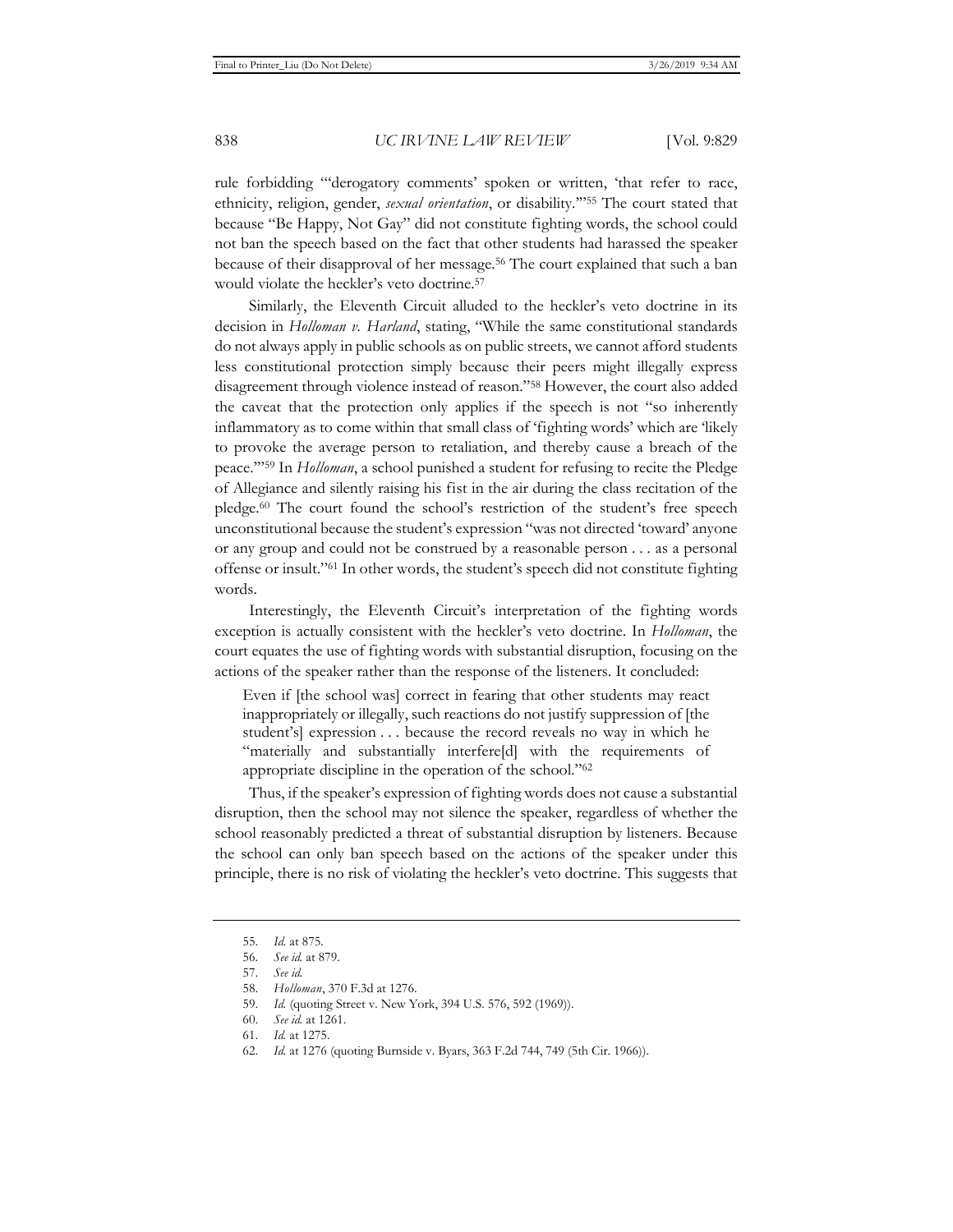rule forbidding "'derogatory comments' spoken or written, 'that refer to race, ethnicity, religion, gender, *sexual orientation*, or disability.'"55 The court stated that because "Be Happy, Not Gay" did not constitute fighting words, the school could not ban the speech based on the fact that other students had harassed the speaker because of their disapproval of her message.56 The court explained that such a ban would violate the heckler's veto doctrine.57

Similarly, the Eleventh Circuit alluded to the heckler's veto doctrine in its decision in *Holloman v. Harland*, stating, "While the same constitutional standards do not always apply in public schools as on public streets, we cannot afford students less constitutional protection simply because their peers might illegally express disagreement through violence instead of reason."58 However, the court also added the caveat that the protection only applies if the speech is not "so inherently inflammatory as to come within that small class of 'fighting words' which are 'likely to provoke the average person to retaliation, and thereby cause a breach of the peace.'"59 In *Holloman*, a school punished a student for refusing to recite the Pledge of Allegiance and silently raising his fist in the air during the class recitation of the pledge.60 The court found the school's restriction of the student's free speech unconstitutional because the student's expression "was not directed 'toward' anyone or any group and could not be construed by a reasonable person . . . as a personal offense or insult."61 In other words, the student's speech did not constitute fighting words.

Interestingly, the Eleventh Circuit's interpretation of the fighting words exception is actually consistent with the heckler's veto doctrine. In *Holloman*, the court equates the use of fighting words with substantial disruption, focusing on the actions of the speaker rather than the response of the listeners. It concluded:

Even if [the school was] correct in fearing that other students may react inappropriately or illegally, such reactions do not justify suppression of [the student's] expression . . . because the record reveals no way in which he "materially and substantially interfere[d] with the requirements of appropriate discipline in the operation of the school."62

Thus, if the speaker's expression of fighting words does not cause a substantial disruption, then the school may not silence the speaker, regardless of whether the school reasonably predicted a threat of substantial disruption by listeners. Because the school can only ban speech based on the actions of the speaker under this principle, there is no risk of violating the heckler's veto doctrine. This suggests that

<sup>55.</sup> *Id.* at 875.

<sup>56.</sup> *See id.* at 879.

<sup>57.</sup> *See id.*

<sup>58.</sup> *Holloman*, 370 F.3d at 1276.

<sup>59.</sup> *Id.* (quoting Street v. New York, 394 U.S. 576, 592 (1969)).

<sup>60.</sup> *See id.* at 1261.

<sup>61.</sup> *Id.* at 1275.

<sup>62.</sup> *Id.* at 1276 (quoting Burnside v. Byars, 363 F.2d 744, 749 (5th Cir. 1966)).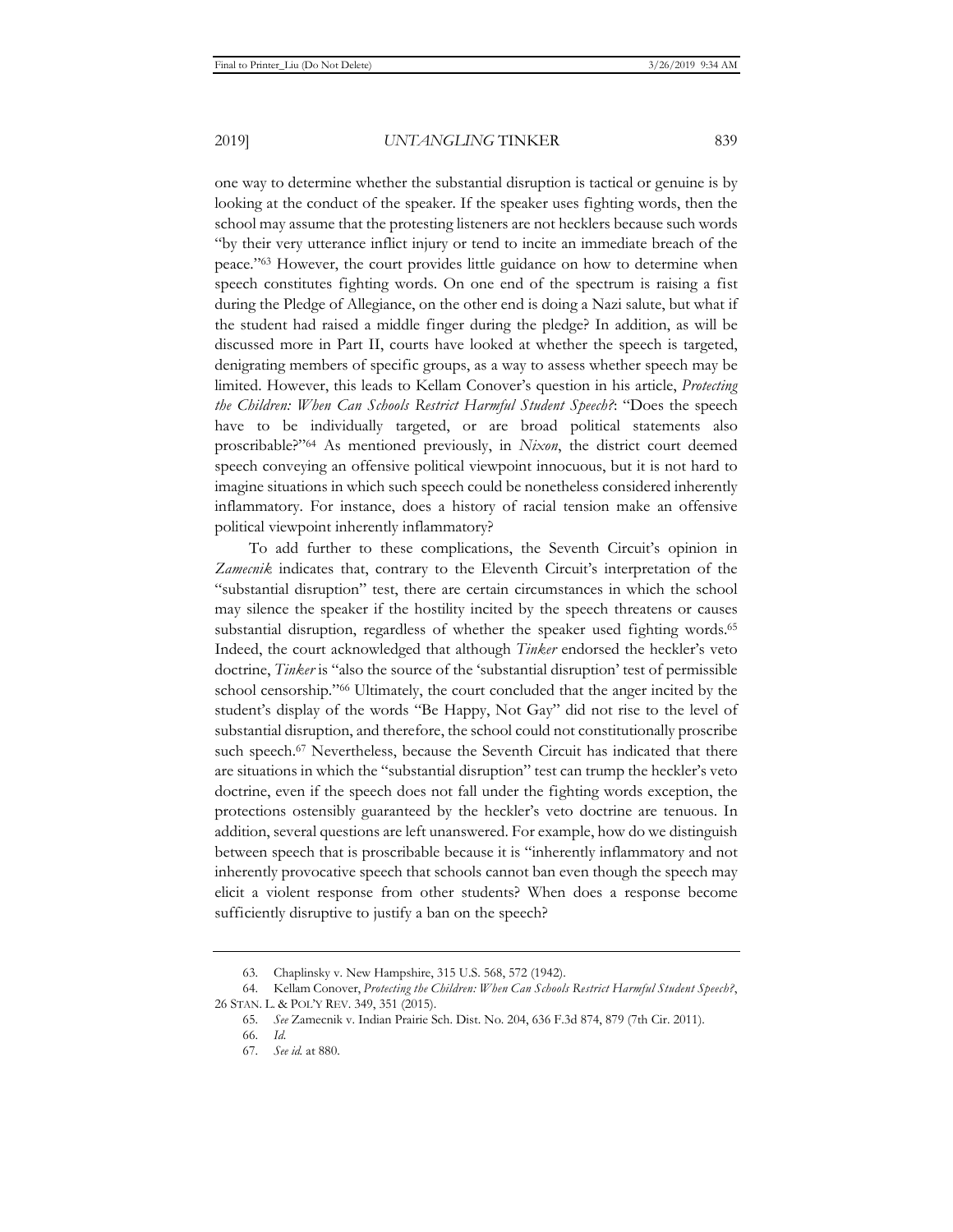one way to determine whether the substantial disruption is tactical or genuine is by looking at the conduct of the speaker. If the speaker uses fighting words, then the school may assume that the protesting listeners are not hecklers because such words "by their very utterance inflict injury or tend to incite an immediate breach of the peace."63 However, the court provides little guidance on how to determine when speech constitutes fighting words. On one end of the spectrum is raising a fist during the Pledge of Allegiance, on the other end is doing a Nazi salute, but what if the student had raised a middle finger during the pledge? In addition, as will be discussed more in Part II, courts have looked at whether the speech is targeted, denigrating members of specific groups, as a way to assess whether speech may be limited. However, this leads to Kellam Conover's question in his article, *Protecting the Children: When Can Schools Restrict Harmful Student Speech?*: "Does the speech have to be individually targeted, or are broad political statements also proscribable?"64 As mentioned previously, in *Nixon*, the district court deemed speech conveying an offensive political viewpoint innocuous, but it is not hard to imagine situations in which such speech could be nonetheless considered inherently inflammatory. For instance, does a history of racial tension make an offensive political viewpoint inherently inflammatory?

To add further to these complications, the Seventh Circuit's opinion in *Zamecnik* indicates that, contrary to the Eleventh Circuit's interpretation of the "substantial disruption" test, there are certain circumstances in which the school may silence the speaker if the hostility incited by the speech threatens or causes substantial disruption, regardless of whether the speaker used fighting words.<sup>65</sup> Indeed, the court acknowledged that although *Tinker* endorsed the heckler's veto doctrine, *Tinker* is "also the source of the 'substantial disruption' test of permissible school censorship."66 Ultimately, the court concluded that the anger incited by the student's display of the words "Be Happy, Not Gay" did not rise to the level of substantial disruption, and therefore, the school could not constitutionally proscribe such speech.<sup>67</sup> Nevertheless, because the Seventh Circuit has indicated that there are situations in which the "substantial disruption" test can trump the heckler's veto doctrine, even if the speech does not fall under the fighting words exception, the protections ostensibly guaranteed by the heckler's veto doctrine are tenuous. In addition, several questions are left unanswered. For example, how do we distinguish between speech that is proscribable because it is "inherently inflammatory and not inherently provocative speech that schools cannot ban even though the speech may elicit a violent response from other students? When does a response become sufficiently disruptive to justify a ban on the speech?

<sup>63.</sup> Chaplinsky v. New Hampshire, 315 U.S. 568, 572 (1942).

<sup>64.</sup> Kellam Conover, *Protecting the Children: When Can Schools Restrict Harmful Student Speech?*, 26 STAN. L. & POL'Y REV. 349, 351 (2015).

<sup>65.</sup> *See* Zamecnik v. Indian Prairie Sch. Dist. No. 204, 636 F.3d 874, 879 (7th Cir. 2011).

<sup>66.</sup> *Id.*

<sup>67.</sup> *See id.* at 880.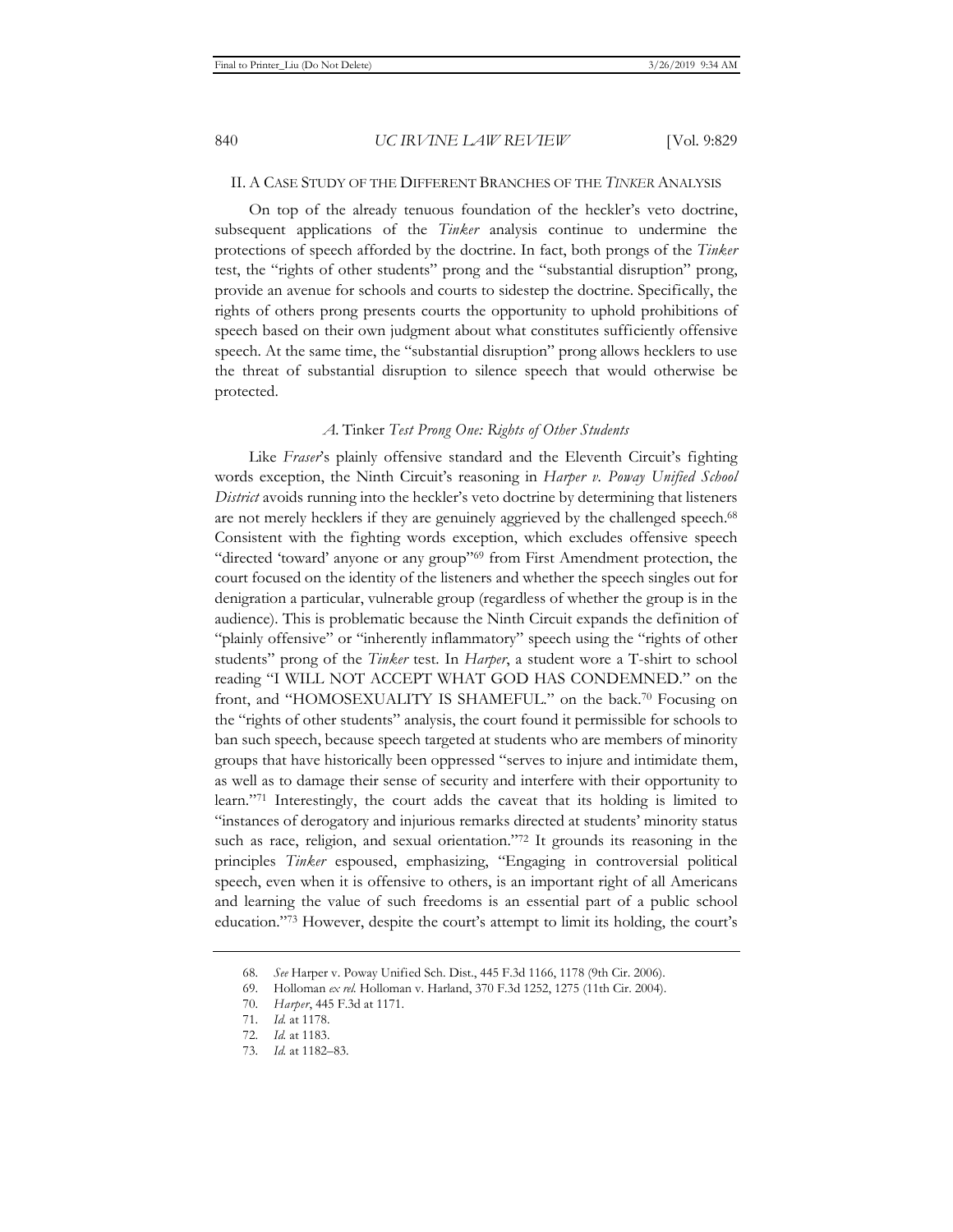#### II. A CASE STUDY OF THE DIFFERENT BRANCHES OF THE *TINKER* ANALYSIS

On top of the already tenuous foundation of the heckler's veto doctrine, subsequent applications of the *Tinker* analysis continue to undermine the protections of speech afforded by the doctrine. In fact, both prongs of the *Tinker* test, the "rights of other students" prong and the "substantial disruption" prong, provide an avenue for schools and courts to sidestep the doctrine. Specifically, the rights of others prong presents courts the opportunity to uphold prohibitions of speech based on their own judgment about what constitutes sufficiently offensive speech. At the same time, the "substantial disruption" prong allows hecklers to use the threat of substantial disruption to silence speech that would otherwise be protected.

#### *A.* Tinker *Test Prong One: Rights of Other Students*

Like *Fraser's* plainly offensive standard and the Eleventh Circuit's fighting words exception, the Ninth Circuit's reasoning in *Harper v. Poway Unified School District* avoids running into the heckler's veto doctrine by determining that listeners are not merely hecklers if they are genuinely aggrieved by the challenged speech.<sup>68</sup> Consistent with the fighting words exception, which excludes offensive speech "directed 'toward' anyone or any group"69 from First Amendment protection, the court focused on the identity of the listeners and whether the speech singles out for denigration a particular, vulnerable group (regardless of whether the group is in the audience). This is problematic because the Ninth Circuit expands the definition of "plainly offensive" or "inherently inflammatory" speech using the "rights of other students" prong of the *Tinker* test. In *Harper*, a student wore a T-shirt to school reading "I WILL NOT ACCEPT WHAT GOD HAS CONDEMNED." on the front, and "HOMOSEXUALITY IS SHAMEFUL." on the back.70 Focusing on the "rights of other students" analysis, the court found it permissible for schools to ban such speech, because speech targeted at students who are members of minority groups that have historically been oppressed "serves to injure and intimidate them, as well as to damage their sense of security and interfere with their opportunity to learn."71 Interestingly, the court adds the caveat that its holding is limited to "instances of derogatory and injurious remarks directed at students' minority status such as race, religion, and sexual orientation."<sup>72</sup> It grounds its reasoning in the principles *Tinker* espoused, emphasizing, "Engaging in controversial political speech, even when it is offensive to others, is an important right of all Americans and learning the value of such freedoms is an essential part of a public school education."73 However, despite the court's attempt to limit its holding, the court's

<sup>68.</sup> *See* Harper v. Poway Unified Sch. Dist., 445 F.3d 1166, 1178 (9th Cir. 2006).

<sup>69.</sup> Holloman *ex rel.* Holloman v. Harland, 370 F.3d 1252, 1275 (11th Cir. 2004).

<sup>70.</sup> *Harper*, 445 F.3d at 1171.

<sup>71.</sup> *Id.* at 1178.

<sup>72.</sup> *Id.* at 1183.

<sup>73.</sup> *Id.* at 1182–83.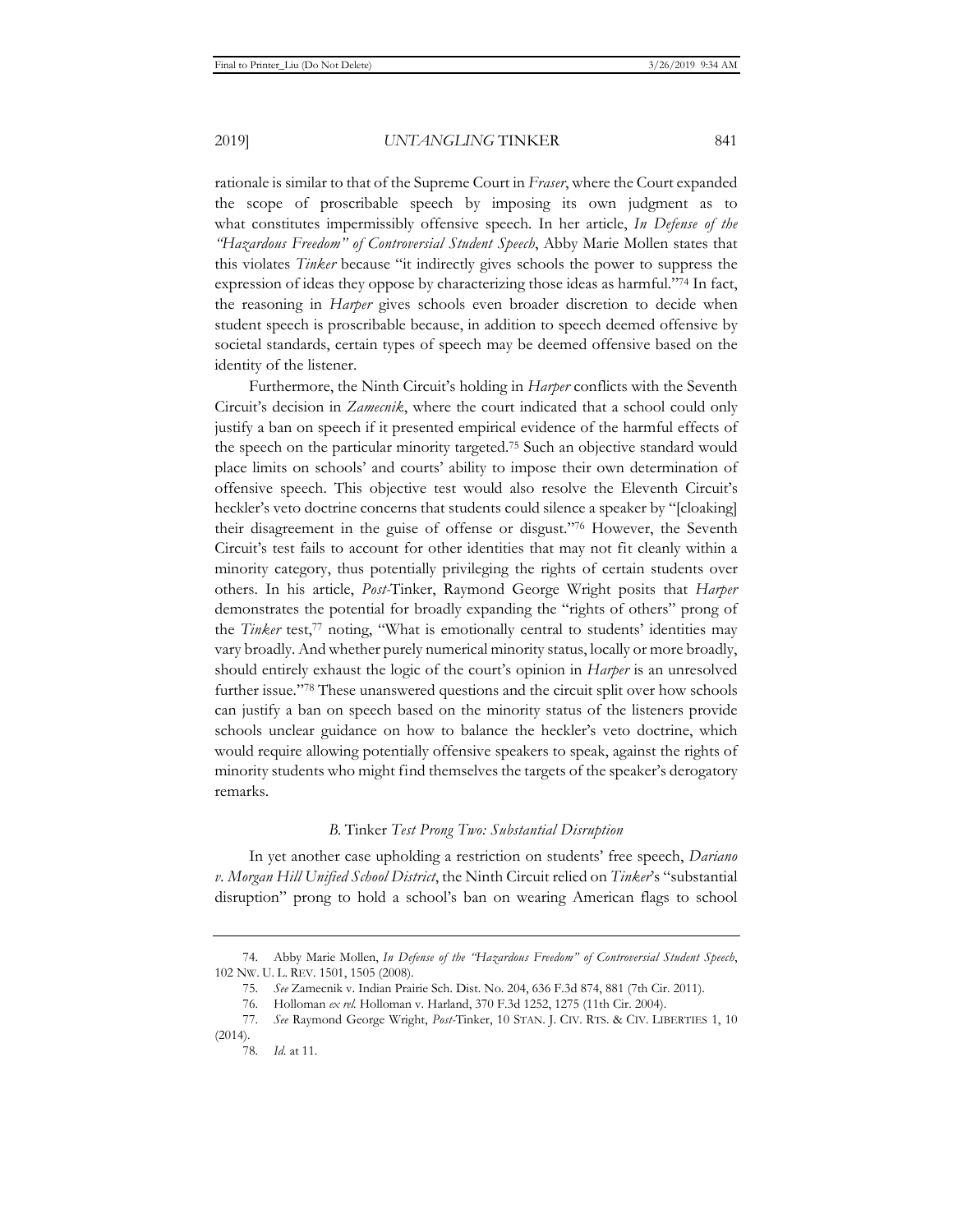rationale is similar to that of the Supreme Court in *Fraser*, where the Court expanded the scope of proscribable speech by imposing its own judgment as to what constitutes impermissibly offensive speech. In her article, *In Defense of the "Hazardous Freedom" of Controversial Student Speech*, Abby Marie Mollen states that this violates *Tinker* because "it indirectly gives schools the power to suppress the expression of ideas they oppose by characterizing those ideas as harmful."74 In fact, the reasoning in *Harper* gives schools even broader discretion to decide when student speech is proscribable because, in addition to speech deemed offensive by societal standards, certain types of speech may be deemed offensive based on the identity of the listener.

Furthermore, the Ninth Circuit's holding in *Harper* conflicts with the Seventh Circuit's decision in *Zamecnik*, where the court indicated that a school could only justify a ban on speech if it presented empirical evidence of the harmful effects of the speech on the particular minority targeted.75 Such an objective standard would place limits on schools' and courts' ability to impose their own determination of offensive speech. This objective test would also resolve the Eleventh Circuit's heckler's veto doctrine concerns that students could silence a speaker by "[cloaking] their disagreement in the guise of offense or disgust."76 However, the Seventh Circuit's test fails to account for other identities that may not fit cleanly within a minority category, thus potentially privileging the rights of certain students over others. In his article, *Post-*Tinker, Raymond George Wright posits that *Harper* demonstrates the potential for broadly expanding the "rights of others" prong of the *Tinker* test,<sup>77</sup> noting, "What is emotionally central to students' identities may vary broadly. And whether purely numerical minority status, locally or more broadly, should entirely exhaust the logic of the court's opinion in *Harper* is an unresolved further issue."78 These unanswered questions and the circuit split over how schools can justify a ban on speech based on the minority status of the listeners provide schools unclear guidance on how to balance the heckler's veto doctrine, which would require allowing potentially offensive speakers to speak, against the rights of minority students who might find themselves the targets of the speaker's derogatory remarks.

#### *B.* Tinker *Test Prong Two: Substantial Disruption*

In yet another case upholding a restriction on students' free speech, *Dariano v. Morgan Hill Unified School District*, the Ninth Circuit relied on *Tinker*'s "substantial disruption" prong to hold a school's ban on wearing American flags to school

<sup>74.</sup> Abby Marie Mollen, *In Defense of the "Hazardous Freedom" of Controversial Student Speech*, 102 NW. U. L. REV. 1501, 1505 (2008).

<sup>75.</sup> *See* Zamecnik v. Indian Prairie Sch. Dist. No. 204, 636 F.3d 874, 881 (7th Cir. 2011).

<sup>76.</sup> Holloman *ex rel.* Holloman v. Harland, 370 F.3d 1252, 1275 (11th Cir. 2004).

<sup>77.</sup> *See* Raymond George Wright, *Post-*Tinker, 10 STAN. J. CIV. RTS. & CIV. LIBERTIES 1, 10 (2014).

<sup>78.</sup> *Id.* at 11.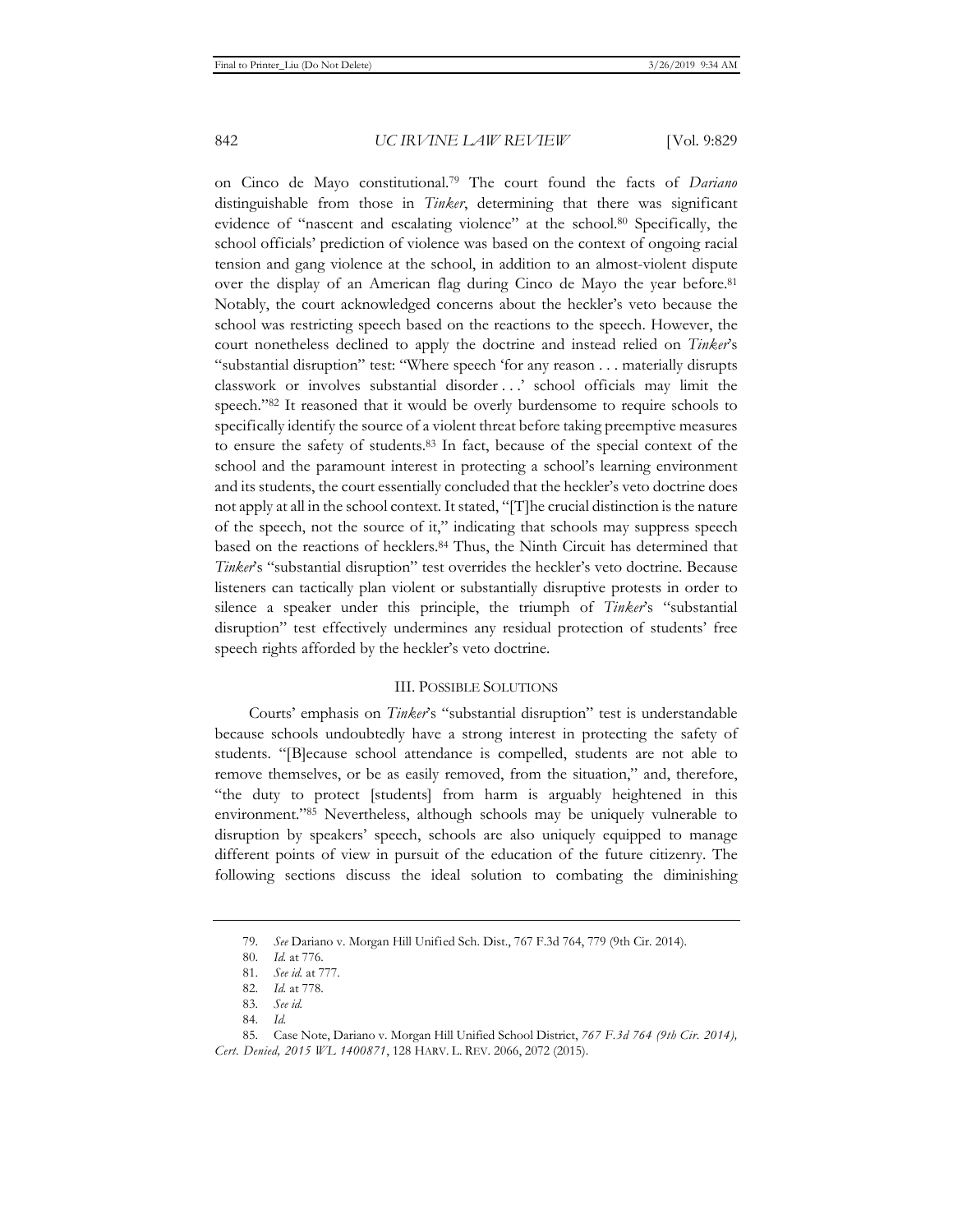on Cinco de Mayo constitutional.79 The court found the facts of *Dariano* distinguishable from those in *Tinker*, determining that there was significant evidence of "nascent and escalating violence" at the school.80 Specifically, the school officials' prediction of violence was based on the context of ongoing racial tension and gang violence at the school, in addition to an almost-violent dispute over the display of an American flag during Cinco de Mayo the year before.81 Notably, the court acknowledged concerns about the heckler's veto because the school was restricting speech based on the reactions to the speech. However, the court nonetheless declined to apply the doctrine and instead relied on *Tinker*'s "substantial disruption" test: "Where speech 'for any reason . . . materially disrupts classwork or involves substantial disorder . . .' school officials may limit the speech."82 It reasoned that it would be overly burdensome to require schools to specifically identify the source of a violent threat before taking preemptive measures to ensure the safety of students.83 In fact, because of the special context of the school and the paramount interest in protecting a school's learning environment and its students, the court essentially concluded that the heckler's veto doctrine does not apply at all in the school context. It stated, "[T]he crucial distinction is the nature of the speech, not the source of it," indicating that schools may suppress speech based on the reactions of hecklers.84 Thus, the Ninth Circuit has determined that *Tinker*'s "substantial disruption" test overrides the heckler's veto doctrine. Because listeners can tactically plan violent or substantially disruptive protests in order to silence a speaker under this principle, the triumph of *Tinker*'s "substantial disruption" test effectively undermines any residual protection of students' free speech rights afforded by the heckler's veto doctrine.

#### III. POSSIBLE SOLUTIONS

Courts' emphasis on *Tinker*'s "substantial disruption" test is understandable because schools undoubtedly have a strong interest in protecting the safety of students. "[B]ecause school attendance is compelled, students are not able to remove themselves, or be as easily removed, from the situation," and, therefore, "the duty to protect [students] from harm is arguably heightened in this environment."85 Nevertheless, although schools may be uniquely vulnerable to disruption by speakers' speech, schools are also uniquely equipped to manage different points of view in pursuit of the education of the future citizenry. The following sections discuss the ideal solution to combating the diminishing

<sup>79.</sup> *See* Dariano v. Morgan Hill Unified Sch. Dist., 767 F.3d 764, 779 (9th Cir. 2014).

<sup>80.</sup> *Id.* at 776.

<sup>81.</sup> *See id.* at 777.

<sup>82.</sup> *Id.* at 778.

<sup>83.</sup> *See id.*

<sup>84.</sup> *Id.*

<sup>85.</sup> Case Note, Dariano v. Morgan Hill Unified School District, *767 F.3d 764 (9th Cir. 2014), Cert. Denied, 2015 WL 1400871*, 128 HARV. L. REV. 2066, 2072 (2015).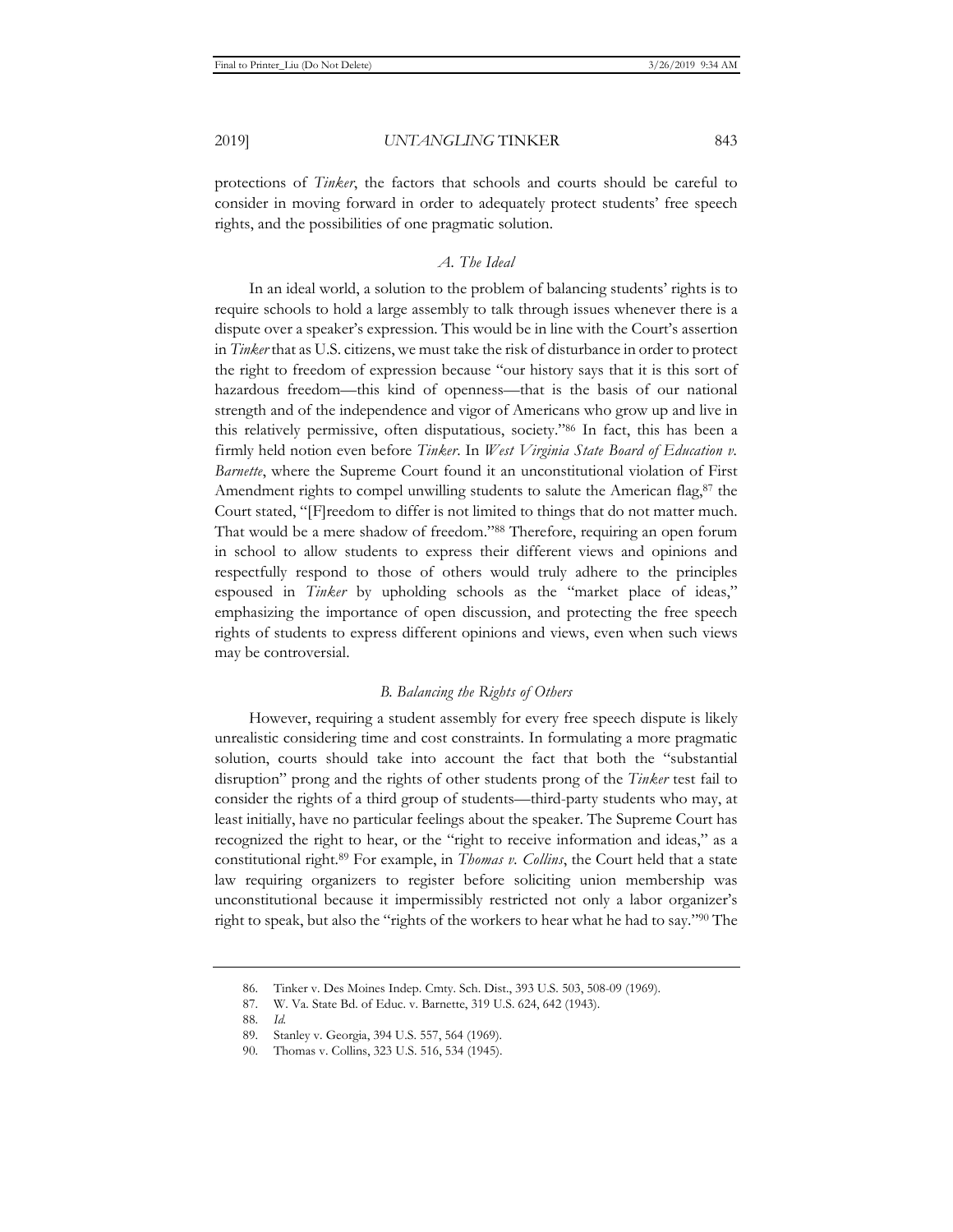protections of *Tinker*, the factors that schools and courts should be careful to consider in moving forward in order to adequately protect students' free speech rights, and the possibilities of one pragmatic solution.

#### *A. The Ideal*

In an ideal world, a solution to the problem of balancing students' rights is to require schools to hold a large assembly to talk through issues whenever there is a dispute over a speaker's expression. This would be in line with the Court's assertion in *Tinker* that as U.S. citizens, we must take the risk of disturbance in order to protect the right to freedom of expression because "our history says that it is this sort of hazardous freedom—this kind of openness—that is the basis of our national strength and of the independence and vigor of Americans who grow up and live in this relatively permissive, often disputatious, society."86 In fact, this has been a firmly held notion even before *Tinker*. In *West Virginia State Board of Education v. Barnette*, where the Supreme Court found it an unconstitutional violation of First Amendment rights to compel unwilling students to salute the American flag, $87$  the Court stated, "[F]reedom to differ is not limited to things that do not matter much. That would be a mere shadow of freedom."88 Therefore, requiring an open forum in school to allow students to express their different views and opinions and respectfully respond to those of others would truly adhere to the principles espoused in *Tinker* by upholding schools as the "market place of ideas," emphasizing the importance of open discussion, and protecting the free speech rights of students to express different opinions and views, even when such views may be controversial.

#### *B. Balancing the Rights of Others*

However, requiring a student assembly for every free speech dispute is likely unrealistic considering time and cost constraints. In formulating a more pragmatic solution, courts should take into account the fact that both the "substantial disruption" prong and the rights of other students prong of the *Tinker* test fail to consider the rights of a third group of students—third-party students who may, at least initially, have no particular feelings about the speaker. The Supreme Court has recognized the right to hear, or the "right to receive information and ideas," as a constitutional right.89 For example, in *Thomas v. Collins*, the Court held that a state law requiring organizers to register before soliciting union membership was unconstitutional because it impermissibly restricted not only a labor organizer's right to speak, but also the "rights of the workers to hear what he had to say."90 The

<sup>86.</sup> Tinker v. Des Moines Indep. Cmty. Sch. Dist., 393 U.S. 503, 508-09 (1969).

<sup>87.</sup> W. Va. State Bd. of Educ. v. Barnette, 319 U.S. 624, 642 (1943).

<sup>88.</sup> *Id.* 

<sup>89.</sup> Stanley v. Georgia, 394 U.S. 557, 564 (1969).

<sup>90.</sup> Thomas v. Collins, 323 U.S. 516, 534 (1945).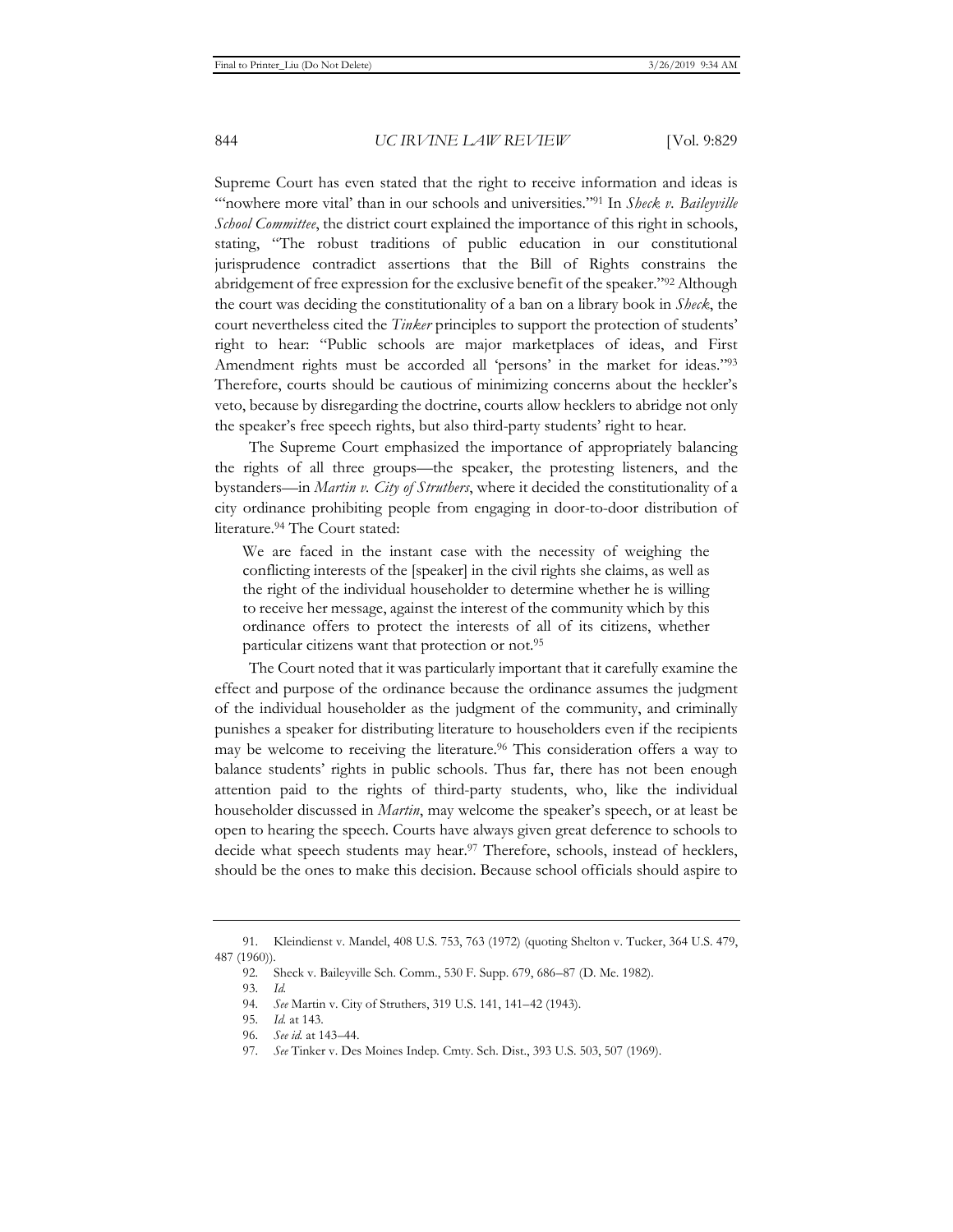Supreme Court has even stated that the right to receive information and ideas is "nowhere more vital' than in our schools and universities."<sup>91</sup> In *Sheck v. Baileyville School Committee*, the district court explained the importance of this right in schools, stating, "The robust traditions of public education in our constitutional jurisprudence contradict assertions that the Bill of Rights constrains the abridgement of free expression for the exclusive benefit of the speaker."92 Although the court was deciding the constitutionality of a ban on a library book in *Sheck*, the court nevertheless cited the *Tinker* principles to support the protection of students' right to hear: "Public schools are major marketplaces of ideas, and First Amendment rights must be accorded all 'persons' in the market for ideas."<sup>93</sup> Therefore, courts should be cautious of minimizing concerns about the heckler's veto, because by disregarding the doctrine, courts allow hecklers to abridge not only the speaker's free speech rights, but also third-party students' right to hear.

The Supreme Court emphasized the importance of appropriately balancing the rights of all three groups—the speaker, the protesting listeners, and the bystanders—in *Martin v. City of Struthers*, where it decided the constitutionality of a city ordinance prohibiting people from engaging in door-to-door distribution of literature.94 The Court stated:

We are faced in the instant case with the necessity of weighing the conflicting interests of the [speaker] in the civil rights she claims, as well as the right of the individual householder to determine whether he is willing to receive her message, against the interest of the community which by this ordinance offers to protect the interests of all of its citizens, whether particular citizens want that protection or not.95

The Court noted that it was particularly important that it carefully examine the effect and purpose of the ordinance because the ordinance assumes the judgment of the individual householder as the judgment of the community, and criminally punishes a speaker for distributing literature to householders even if the recipients may be welcome to receiving the literature.<sup>96</sup> This consideration offers a way to balance students' rights in public schools. Thus far, there has not been enough attention paid to the rights of third-party students, who, like the individual householder discussed in *Martin*, may welcome the speaker's speech, or at least be open to hearing the speech. Courts have always given great deference to schools to decide what speech students may hear.<sup>97</sup> Therefore, schools, instead of hecklers, should be the ones to make this decision. Because school officials should aspire to

<sup>91.</sup> Kleindienst v. Mandel, 408 U.S. 753, 763 (1972) (quoting Shelton v. Tucker, 364 U.S. 479, 487 (1960)).

<sup>92.</sup> Sheck v. Baileyville Sch. Comm., 530 F. Supp. 679, 686–87 (D. Me. 1982).

<sup>93.</sup> *Id.* 

<sup>94.</sup> *See* Martin v. City of Struthers, 319 U.S. 141, 141–42 (1943).

<sup>95.</sup> *Id.* at 143.

<sup>96.</sup> *See id.* at 143–44.

<sup>97.</sup> *See* Tinker v. Des Moines Indep. Cmty. Sch. Dist., 393 U.S. 503, 507 (1969).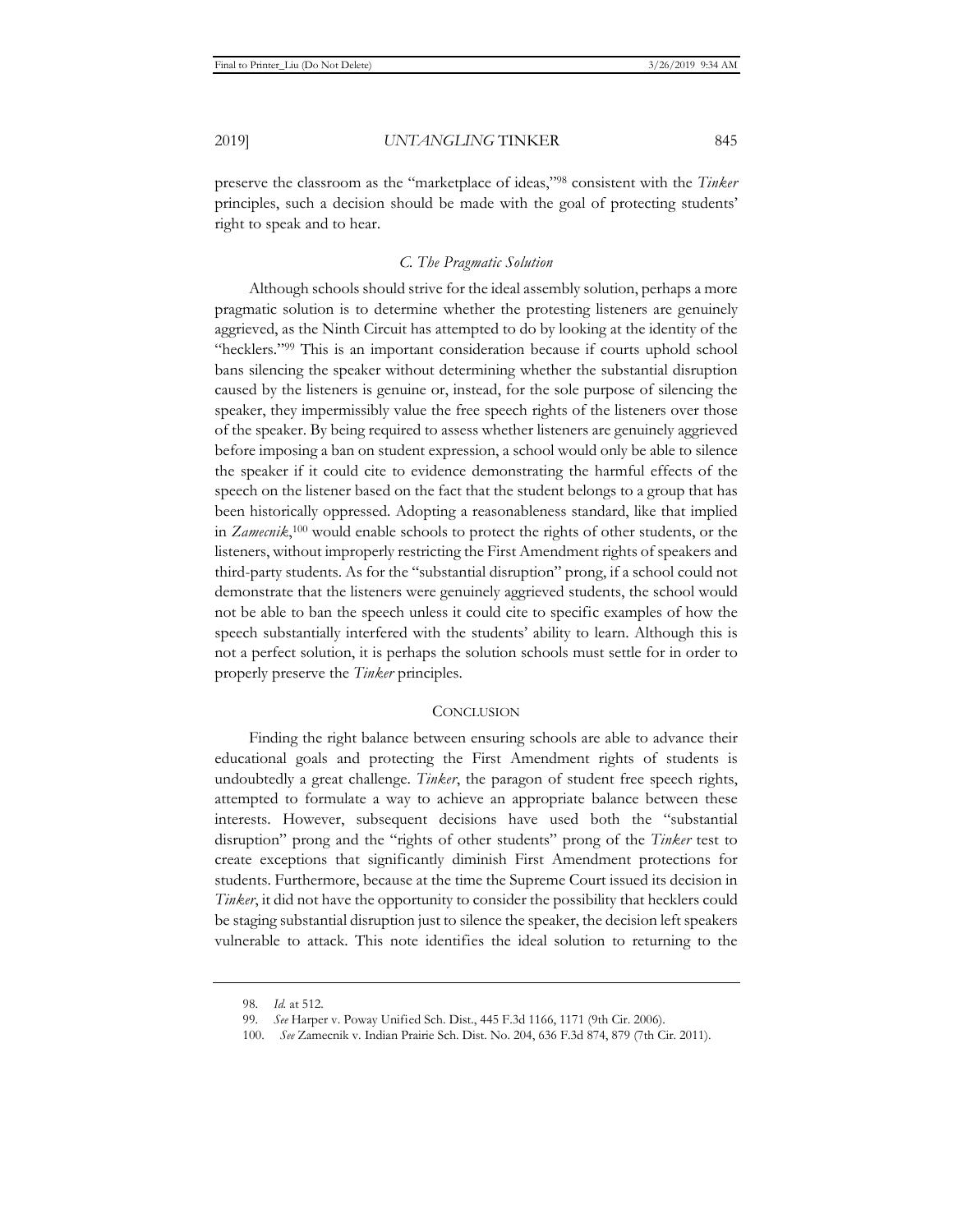preserve the classroom as the "marketplace of ideas,"98 consistent with the *Tinker* principles, such a decision should be made with the goal of protecting students' right to speak and to hear.

#### *C. The Pragmatic Solution*

Although schools should strive for the ideal assembly solution, perhaps a more pragmatic solution is to determine whether the protesting listeners are genuinely aggrieved, as the Ninth Circuit has attempted to do by looking at the identity of the "hecklers."99 This is an important consideration because if courts uphold school bans silencing the speaker without determining whether the substantial disruption caused by the listeners is genuine or, instead, for the sole purpose of silencing the speaker, they impermissibly value the free speech rights of the listeners over those of the speaker. By being required to assess whether listeners are genuinely aggrieved before imposing a ban on student expression, a school would only be able to silence the speaker if it could cite to evidence demonstrating the harmful effects of the speech on the listener based on the fact that the student belongs to a group that has been historically oppressed. Adopting a reasonableness standard, like that implied in *Zamecnik*, 100 would enable schools to protect the rights of other students, or the listeners, without improperly restricting the First Amendment rights of speakers and third-party students. As for the "substantial disruption" prong, if a school could not demonstrate that the listeners were genuinely aggrieved students, the school would not be able to ban the speech unless it could cite to specific examples of how the speech substantially interfered with the students' ability to learn. Although this is not a perfect solution, it is perhaps the solution schools must settle for in order to properly preserve the *Tinker* principles.

#### **CONCLUSION**

Finding the right balance between ensuring schools are able to advance their educational goals and protecting the First Amendment rights of students is undoubtedly a great challenge. *Tinker*, the paragon of student free speech rights, attempted to formulate a way to achieve an appropriate balance between these interests. However, subsequent decisions have used both the "substantial disruption" prong and the "rights of other students" prong of the *Tinker* test to create exceptions that significantly diminish First Amendment protections for students. Furthermore, because at the time the Supreme Court issued its decision in *Tinker*, it did not have the opportunity to consider the possibility that hecklers could be staging substantial disruption just to silence the speaker, the decision left speakers vulnerable to attack. This note identifies the ideal solution to returning to the

<sup>98.</sup> *Id.* at 512.

<sup>99.</sup> *See* Harper v. Poway Unified Sch. Dist., 445 F.3d 1166, 1171 (9th Cir. 2006).

<sup>100.</sup> *See* Zamecnik v. Indian Prairie Sch. Dist. No. 204, 636 F.3d 874, 879 (7th Cir. 2011).